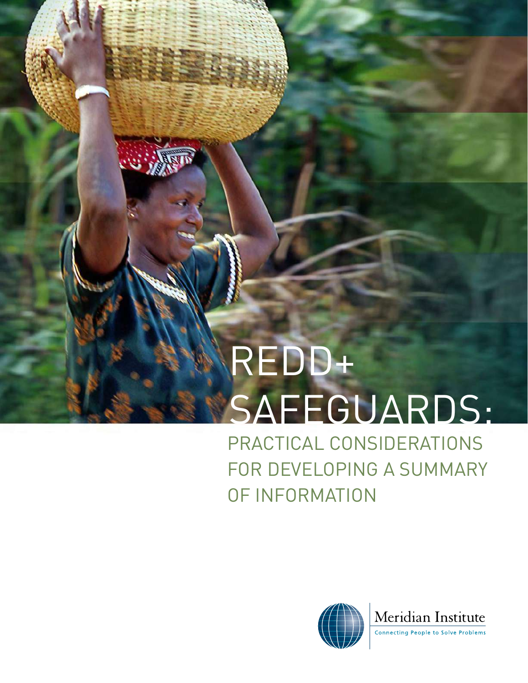# REDD+ SAFEGUARDS:

 $\omega$  in

PRACTICAL CONSIDERATIONS FOR DEVELOPING A SUMMARY OF INFORMATION



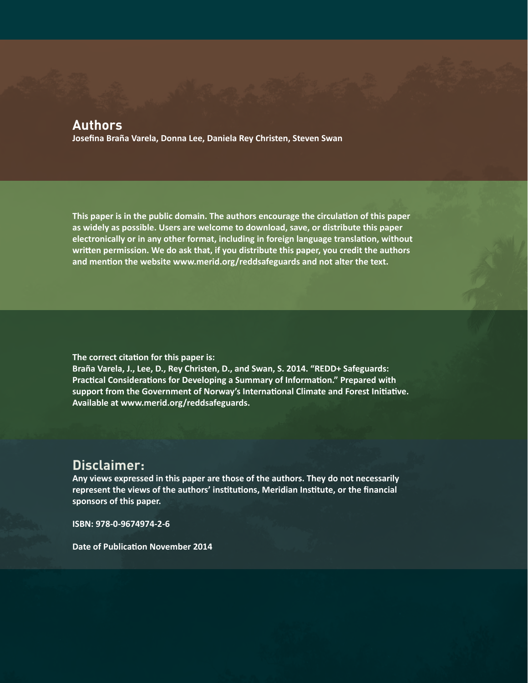### **Authors**

**Josefina Braña Varela, Donna Lee, Daniela Rey Christen, Steven Swan**

**This paper is in the public domain. The authors encourage the circulation of this paper as widely as possible. Users are welcome to download, save, or distribute this paper electronically or in any other format, including in foreign language translation, without written permission. We do ask that, if you distribute this paper, you credit the authors and mention the website [www.merid.org/reddsafeguards](http://www.merid.org/reddsafeguards) and not alter the text.** 

**The correct citation for this paper is: Braña Varela, J., Lee, D., Rey Christen, D., and Swan, S. 2014. "REDD+ Safeguards: Practical Considerations for Developing a Summary of Information." Prepared with support from the Government of Norway's International Climate and Forest Initiative. Available at [www.merid.org/reddsafeguards](http://www.merid.org/reddsafeguards).** 

# **Disclaimer:**

**Any views expressed in this paper are those of the authors. They do not necessarily represent the views of the authors' institutions, Meridian Institute, or the financial sponsors of this paper.** 

**ISBN: 978-0-9674974-2-6**

**Date of Publication November 2014**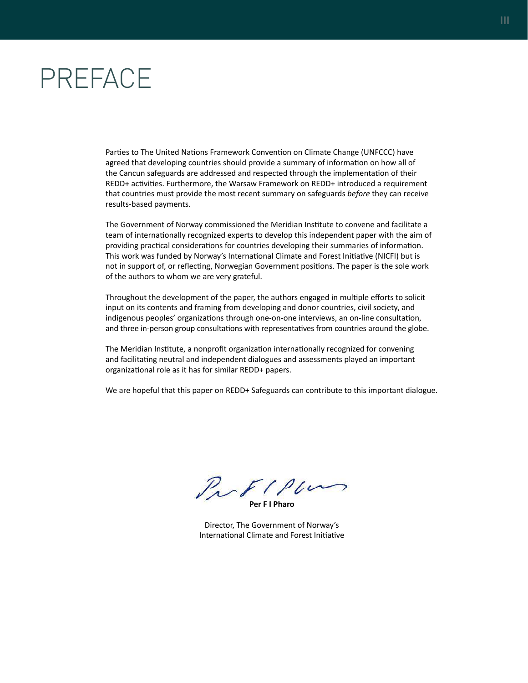# <span id="page-2-0"></span>PREFACE

Parties to The United Nations Framework Convention on Climate Change (UNFCCC) have agreed that developing countries should provide a summary of information on how all of the Cancun safeguards are addressed and respected through the implementation of their REDD+ activities. Furthermore, the Warsaw Framework on REDD+ introduced a requirement that countries must provide the most recent summary on safeguards *before* they can receive results-based payments.

The Government of Norway commissioned the Meridian Institute to convene and facilitate a team of internationally recognized experts to develop this independent paper with the aim of providing practical considerations for countries developing their summaries of information. This work was funded by Norway's International Climate and Forest Initiative (NICFI) but is not in support of, or reflecting, Norwegian Government positions. The paper is the sole work of the authors to whom we are very grateful.

Throughout the development of the paper, the authors engaged in multiple efforts to solicit input on its contents and framing from developing and donor countries, civil society, and indigenous peoples' organizations through one-on-one interviews, an on-line consultation, and three in-person group consultations with representatives from countries around the globe.

The Meridian Institute, a nonprofit organization internationally recognized for convening and facilitating neutral and independent dialogues and assessments played an important organizational role as it has for similar REDD+ papers.

We are hopeful that this paper on REDD+ Safeguards can contribute to this important dialogue.

Profillers

**Per F I Pharo**

Director, The Government of Norway's International Climate and Forest Initiative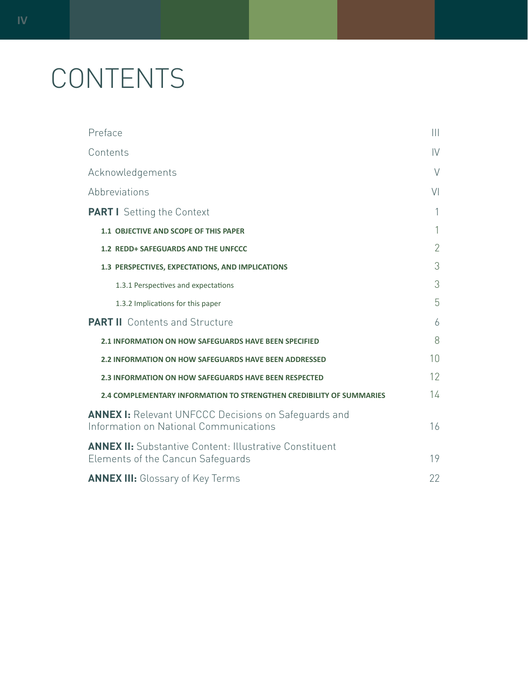# CONTENTS

| Preface                                                                                               | $\mathbf{  }$  |  |
|-------------------------------------------------------------------------------------------------------|----------------|--|
| Contents                                                                                              | $\mathsf{IV}$  |  |
| Acknowledgements                                                                                      | $\vee$         |  |
| Abbreviations                                                                                         | V <sub>l</sub> |  |
| <b>PART I</b> Setting the Context                                                                     | 1              |  |
| 1.1 OBJECTIVE AND SCOPE OF THIS PAPER                                                                 | 1              |  |
| 1.2 REDD+ SAFEGUARDS AND THE UNFCCC                                                                   | $\overline{2}$ |  |
| 1.3 PERSPECTIVES, EXPECTATIONS, AND IMPLICATIONS                                                      | 3              |  |
| 1.3.1 Perspectives and expectations                                                                   | 3              |  |
| 1.3.2 Implications for this paper                                                                     | 5              |  |
| <b>PART II</b> Contents and Structure                                                                 | 6              |  |
| <b>2.1 INFORMATION ON HOW SAFEGUARDS HAVE BEEN SPECIFIED</b>                                          | 8              |  |
| <b>2.2 INFORMATION ON HOW SAFEGUARDS HAVE BEEN ADDRESSED</b>                                          |                |  |
| <b>2.3 INFORMATION ON HOW SAFEGUARDS HAVE BEEN RESPECTED</b>                                          |                |  |
| 2.4 COMPLEMENTARY INFORMATION TO STRENGTHEN CREDIBILITY OF SUMMARIES                                  | $14^{1}$       |  |
| <b>ANNEX I:</b> Relevant UNFCCC Decisions on Safeguards and<br>Information on National Communications |                |  |
| <b>ANNEX II:</b> Substantive Content: Illustrative Constituent<br>Elements of the Cancun Safeguards   | 19             |  |
| <b>ANNEX III:</b> Glossary of Key Terms                                                               | 22             |  |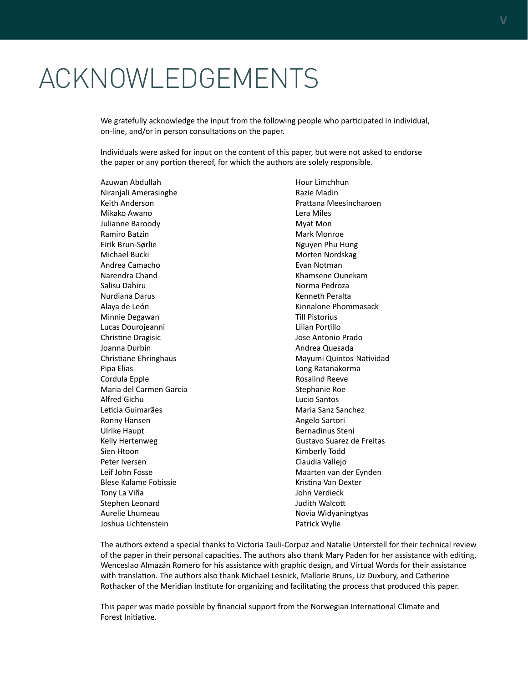# <span id="page-4-0"></span>ACKNOWLEDGEMENTS

We gratefully acknowledge the input from the following people who participated in individual, on-line, and/or in person consultations on the paper.

Individuals were asked for input on the content of this paper, but were not asked to endorse the paper or any portion thereof, for which the authors are solely responsible.

Azuwan Abdullah Niranjali Amerasinghe Keith Anderson Mikako Awano Julianne Baroody Ramiro Batzin Eirik Brun-Sørlie Michael Bucki Andrea Camacho Narendra Chand Salisu Dahiru Nurdiana Darus Alaya de León Minnie Degawan Lucas Dourojeanni Christine Dragisic Joanna Durbin Christiane Ehringhaus Pipa Elias Cordula Epple Maria del Carmen Garcia Alfred Gichu Leticia Guimarães Ronny Hansen Ulrike Haupt Kelly Hertenweg Sien Htoon Peter Iversen Leif John Fosse Blese Kalame Fobissie Tony La Viña Stephen Leonard Aurelie Lhumeau Joshua Lichtenstein

Hour Limchhun Razie Madin Prattana Meesincharoen Lera Miles Myat Mon Mark Monroe Nguyen Phu Hung Morten Nordskag Evan Notman Khamsene Ounekam Norma Pedroza Kenneth Peralta Kinnalone Phommasack Till Pistorius Lilian Portillo Jose Antonio Prado Andrea Quesada Mayumi Quintos-Natividad Long Ratanakorma Rosalind Reeve Stephanie Roe Lucio Santos Maria Sanz Sanchez Angelo Sartori Bernadinus Steni Gustavo Suarez de Freitas Kimberly Todd Claudia Vallejo Maarten van der Eynden Kristina Van Dexter John Verdieck Judith Walcott Novia Widyaningtyas Patrick Wylie

The authors extend a special thanks to Victoria Tauli-Corpuz and Natalie Unterstell for their technical review of the paper in their personal capacities. The authors also thank Mary Paden for her assistance with editing, Wenceslao Almazán Romero for his assistance with graphic design, and Virtual Words for their assistance with translation. The authors also thank Michael Lesnick, Mallorie Bruns, Liz Duxbury, and Catherine Rothacker of the Meridian Institute for organizing and facilitating the process that produced this paper.

This paper was made possible by financial support from the Norwegian International Climate and Forest Initiative.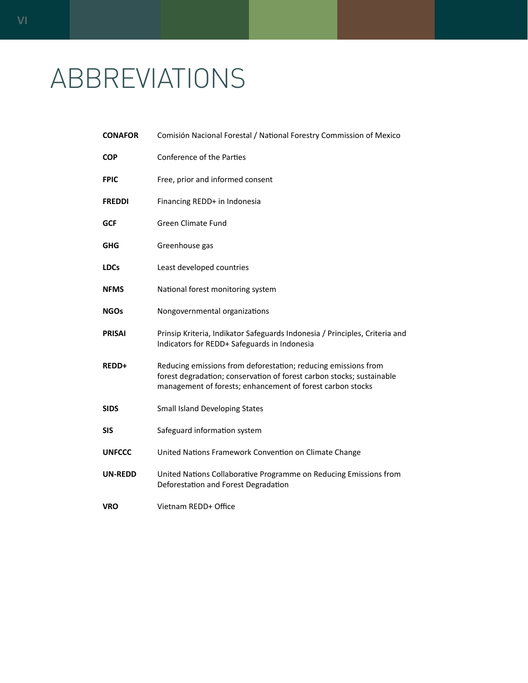# <span id="page-5-0"></span>ABBREVIATIONS

| <b>CONAFOR</b> | Comisión Nacional Forestal / National Forestry Commission of Mexico                                                                                                                                   |
|----------------|-------------------------------------------------------------------------------------------------------------------------------------------------------------------------------------------------------|
| COP            | Conference of the Parties                                                                                                                                                                             |
| <b>FPIC</b>    | Free, prior and informed consent                                                                                                                                                                      |
| <b>FREDDI</b>  | Financing REDD+ in Indonesia                                                                                                                                                                          |
| GCF            | <b>Green Climate Fund</b>                                                                                                                                                                             |
| GHG            | Greenhouse gas                                                                                                                                                                                        |
| <b>LDCs</b>    | Least developed countries                                                                                                                                                                             |
| <b>NFMS</b>    | National forest monitoring system                                                                                                                                                                     |
| NGOs           | Nongovernmental organizations                                                                                                                                                                         |
| <b>PRISAI</b>  | Prinsip Kriteria, Indikator Safeguards Indonesia / Principles, Criteria and<br>Indicators for REDD+ Safeguards in Indonesia                                                                           |
| <b>REDD+</b>   | Reducing emissions from deforestation; reducing emissions from<br>forest degradation; conservation of forest carbon stocks; sustainable<br>management of forests; enhancement of forest carbon stocks |
| <b>SIDS</b>    | <b>Small Island Developing States</b>                                                                                                                                                                 |
| SIS            | Safeguard information system                                                                                                                                                                          |
| <b>UNFCCC</b>  | United Nations Framework Convention on Climate Change                                                                                                                                                 |
| <b>UN-REDD</b> | United Nations Collaborative Programme on Reducing Emissions from<br>Deforestation and Forest Degradation                                                                                             |
| VRO            | Vietnam REDD+ Office                                                                                                                                                                                  |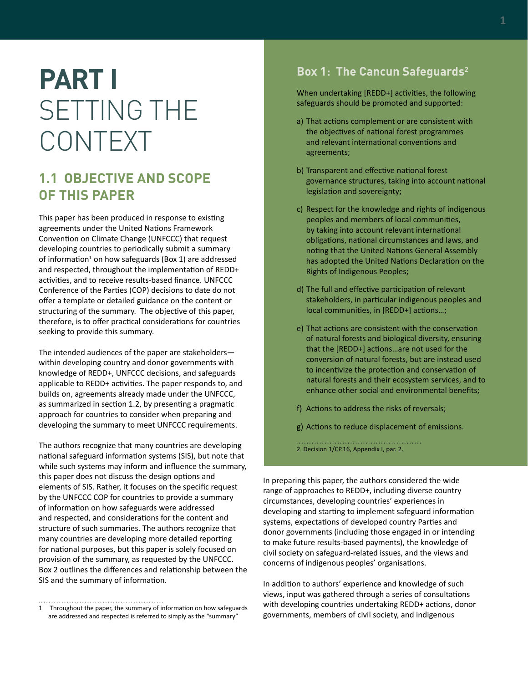# <span id="page-6-0"></span>**PART I**  SETTING THE CONTEXT

# **1.1 OBJECTIVE AND SCOPE OF THIS PAPER**

This paper has been produced in response to existing agreements under the United Nations Framework Convention on Climate Change (UNFCCC) that request developing countries to periodically submit a summary of information<sup>1</sup> on how safeguards (Box 1) are addressed and respected, throughout the implementation of REDD+ activities, and to receive results-based finance. UNFCCC Conference of the Parties (COP) decisions to date do not offer a template or detailed guidance on the content or structuring of the summary. The objective of this paper, therefore, is to offer practical considerations for countries seeking to provide this summary.

The intended audiences of the paper are stakeholders within developing country and donor governments with knowledge of REDD+, UNFCCC decisions, and safeguards applicable to REDD+ activities. The paper responds to, and builds on, agreements already made under the UNFCCC, as summarized in section 1.2, by presenting a pragmatic approach for countries to consider when preparing and developing the summary to meet UNFCCC requirements.

The authors recognize that many countries are developing national safeguard information systems (SIS), but note that while such systems may inform and influence the summary, this paper does not discuss the design options and elements of SIS. Rather, it focuses on the specific request by the UNFCCC COP for countries to provide a summary of information on how safeguards were addressed and respected, and considerations for the content and structure of such summaries. The authors recognize that many countries are developing more detailed reporting for national purposes, but this paper is solely focused on provision of the summary, as requested by the UNFCCC. Box 2 outlines the differences and relationship between the SIS and the summary of information.

# **Box 1: The Cancun Safeguards2**

When undertaking [REDD+] activities, the following safeguards should be promoted and supported:

- a) That actions complement or are consistent with the objectives of national forest programmes and relevant international conventions and agreements;
- b) Transparent and effective national forest governance structures, taking into account national legislation and sovereignty;
- c) Respect for the knowledge and rights of indigenous peoples and members of local communities, by taking into account relevant international obligations, national circumstances and laws, and noting that the United Nations General Assembly has adopted the United Nations Declaration on the Rights of Indigenous Peoples;
- d) The full and effective participation of relevant stakeholders, in particular indigenous peoples and local communities, in [REDD+] actions…;
- e) That actions are consistent with the conservation of natural forests and biological diversity, ensuring that the [REDD+] actions…are not used for the conversion of natural forests, but are instead used to incentivize the protection and conservation of natural forests and their ecosystem services, and to enhance other social and environmental benefits;
- f) Actions to address the risks of reversals;
- g) Actions to reduce displacement of emissions.

2 Decision 1/CP.16, Appendix I, par. 2.

In preparing this paper, the authors considered the wide range of approaches to REDD+, including diverse country circumstances, developing countries' experiences in developing and starting to implement safeguard information systems, expectations of developed country Parties and donor governments (including those engaged in or intending to make future results-based payments), the knowledge of civil society on safeguard-related issues, and the views and concerns of indigenous peoples' organisations.

In addition to authors' experience and knowledge of such views, input was gathered through a series of consultations with developing countries undertaking REDD+ actions, donor governments, members of civil society, and indigenous

<sup>1</sup> Throughout the paper, the summary of information on how safeguards are addressed and respected is referred to simply as the "summary"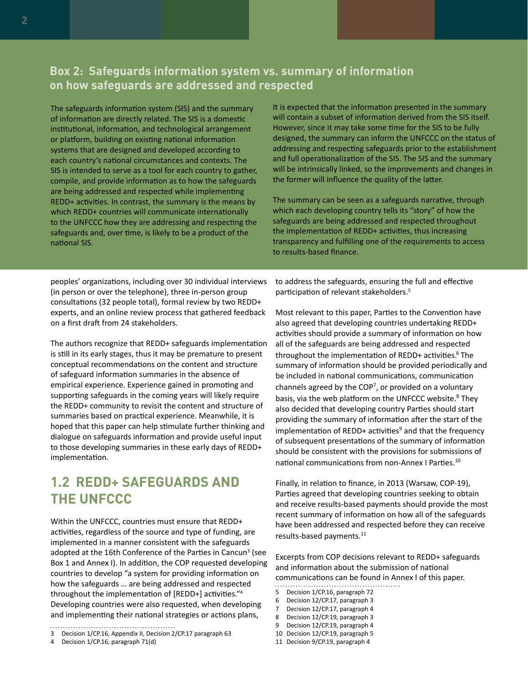# <span id="page-7-0"></span>**Box 2: Safeguards information system vs. summary of information on how safeguards are addressed and respected**

The safeguards information system (SIS) and the summary of information are directly related. The SIS is a domestic institutional, information, and technological arrangement or platform, building on existing national information systems that are designed and developed according to each country's national circumstances and contexts. The SIS is intended to serve as a tool for each country to gather, compile, and provide information as to how the safeguards are being addressed and respected while implementing REDD+ activities. In contrast, the summary is the means by which REDD+ countries will communicate internationally to the UNFCCC how they are addressing and respecting the safeguards and, over time, is likely to be a product of the national SIS.

It is expected that the information presented in the summary will contain a subset of information derived from the SIS itself. However, since it may take some time for the SIS to be fully designed, the summary can inform the UNFCCC on the status of addressing and respecting safeguards prior to the establishment and full operationalization of the SIS. The SIS and the summary will be intrinsically linked, so the improvements and changes in the former will influence the quality of the latter.

The summary can be seen as a safeguards narrative, through which each developing country tells its "story" of how the safeguards are being addressed and respected throughout the implementation of REDD+ activities, thus increasing transparency and fulfilling one of the requirements to access to results-based finance.

peoples' organizations, including over 30 individual interviews (in person or over the telephone), three in-person group consultations (32 people total), formal review by two REDD+ experts, and an online review process that gathered feedback on a first draft from 24 stakeholders.

The authors recognize that REDD+ safeguards implementation is still in its early stages, thus it may be premature to present conceptual recommendations on the content and structure of safeguard information summaries in the absence of empirical experience. Experience gained in promoting and supporting safeguards in the coming years will likely require the REDD+ community to revisit the content and structure of summaries based on practical experience. Meanwhile, it is hoped that this paper can help stimulate further thinking and dialogue on safeguards information and provide useful input to those developing summaries in these early days of REDD+ implementation.

# **1.2 REDD+ SAFEGUARDS AND THE UNFCCC**

Within the UNFCCC, countries must ensure that REDD+ activities, regardless of the source and type of funding, are implemented in a manner consistent with the safeguards adopted at the 16th Conference of the Parties in Cancun<sup>3</sup> (see Box 1 and Annex I). In addition, the COP requested developing countries to develop "a system for providing information on how the safeguards … are being addressed and respected throughout the implementation of [REDD+] activities."4 Developing countries were also requested, when developing and implementing their national strategies or actions plans,

4 Decision 1/CP.16, paragraph 71(d)

to address the safeguards, ensuring the full and effective participation of relevant stakeholders.<sup>5</sup>

Most relevant to this paper, Parties to the Convention have also agreed that developing countries undertaking REDD+ activities should provide a summary of information on how all of the safeguards are being addressed and respected throughout the implementation of REDD+ activities.<sup>6</sup> The summary of information should be provided periodically and be included in national communications, communication channels agreed by the COP<sup>7</sup>, or provided on a voluntary basis, via the web platform on the UNFCCC website.<sup>8</sup> They also decided that developing country Parties should start providing the summary of information after the start of the implementation of REDD+ activities<sup>9</sup> and that the frequency of subsequent presentations of the summary of information should be consistent with the provisions for submissions of national communications from non-Annex I Parties.10

Finally, in relation to finance, in 2013 (Warsaw, COP-19), Parties agreed that developing countries seeking to obtain and receive results-based payments should provide the most recent summary of information on how all of the safeguards have been addressed and respected before they can receive results-based payments.<sup>11</sup>

Excerpts from COP decisions relevant to REDD+ safeguards and information about the submission of national communications can be found in Annex I of this paper.

- 6 Decision 12/CP.17, paragraph 3
- 7 Decision 12/CP.17, paragraph 4
- 8 Decision 12/CP.19, paragraph 3
- 9 Decision 12/CP.19, paragraph 4

11 Decision 9/CP.19, paragraph 4

<sup>3</sup> Decision 1/CP.16, Appendix II, Decision 2/CP.17 paragraph 63

<sup>5</sup> Decision 1/CP.16, paragraph 72

<sup>10</sup> Decision 12/CP.19, paragraph 5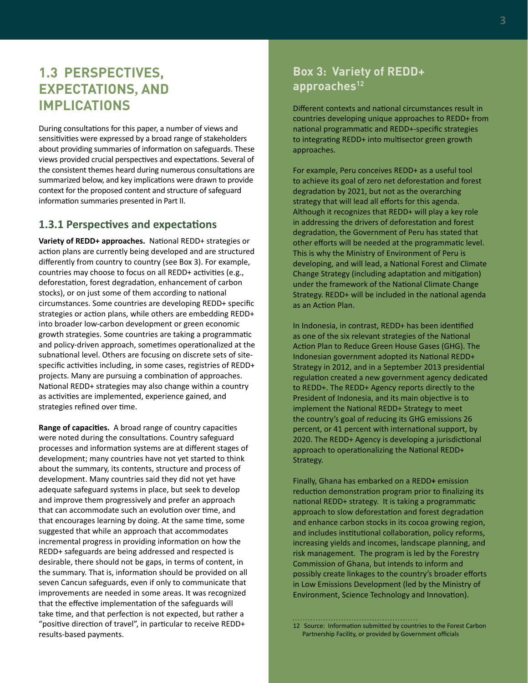# <span id="page-8-0"></span>**1.3 PERSPECTIVES, EXPECTATIONS, AND IMPLICATIONS**

During consultations for this paper, a number of views and sensitivities were expressed by a broad range of stakeholders about providing summaries of information on safeguards. These views provided crucial perspectives and expectations. Several of the consistent themes heard during numerous consultations are summarized below, and key implications were drawn to provide context for the proposed content and structure of safeguard information summaries presented in Part II.

#### **1.3.1 Perspectives and expectations**

**Variety of REDD+ approaches.** National REDD+ strategies or action plans are currently being developed and are structured differently from country to country (see Box 3). For example, countries may choose to focus on all REDD+ activities (e.g., deforestation, forest degradation, enhancement of carbon stocks), or on just some of them according to national circumstances. Some countries are developing REDD+ specific strategies or action plans, while others are embedding REDD+ into broader low-carbon development or green economic growth strategies. Some countries are taking a programmatic and policy-driven approach, sometimes operationalized at the subnational level. Others are focusing on discrete sets of sitespecific activities including, in some cases, registries of REDD+ projects. Many are pursuing a combination of approaches. National REDD+ strategies may also change within a country as activities are implemented, experience gained, and strategies refined over time.

**Range of capacities.** A broad range of country capacities were noted during the consultations. Country safeguard processes and information systems are at different stages of development; many countries have not yet started to think about the summary, its contents, structure and process of development. Many countries said they did not yet have adequate safeguard systems in place, but seek to develop and improve them progressively and prefer an approach that can accommodate such an evolution over time, and that encourages learning by doing. At the same time, some suggested that while an approach that accommodates incremental progress in providing information on how the REDD+ safeguards are being addressed and respected is desirable, there should not be gaps, in terms of content, in the summary. That is, information should be provided on all seven Cancun safeguards, even if only to communicate that improvements are needed in some areas. It was recognized that the effective implementation of the safeguards will take time, and that perfection is not expected, but rather a "positive direction of travel", in particular to receive REDD+ results-based payments.

## **Box 3: Variety of REDD+**  approaches<sup>12</sup>

Different contexts and national circumstances result in countries developing unique approaches to REDD+ from national programmatic and REDD+-specific strategies to integrating REDD+ into multisector green growth approaches.

For example, Peru conceives REDD+ as a useful tool to achieve its goal of zero net deforestation and forest degradation by 2021, but not as the overarching strategy that will lead all efforts for this agenda. Although it recognizes that REDD+ will play a key role in addressing the drivers of deforestation and forest degradation, the Government of Peru has stated that other efforts will be needed at the programmatic level. This is why the Ministry of Environment of Peru is developing, and will lead, a National Forest and Climate Change Strategy (including adaptation and mitigation) under the framework of the National Climate Change Strategy. REDD+ will be included in the national agenda as an Action Plan.

In Indonesia, in contrast, REDD+ has been identified as one of the six relevant strategies of the National Action Plan to Reduce Green House Gases (GHG). The Indonesian government adopted its National REDD+ Strategy in 2012, and in a September 2013 presidential regulation created a new government agency dedicated to REDD+. The REDD+ Agency reports directly to the President of Indonesia, and its main objective is to implement the National REDD+ Strategy to meet the country's goal of reducing its GHG emissions 26 percent, or 41 percent with international support, by 2020. The REDD+ Agency is developing a jurisdictional approach to operationalizing the National REDD+ Strategy.

Finally, Ghana has embarked on a REDD**+** emission reduction demonstration program prior to finalizing its national REDD+ strategy. It is taking a programmatic approach to slow deforestation and forest degradation and enhance carbon stocks in its cocoa growing region, and includes institutional collaboration, policy reforms, increasing yields and incomes, landscape planning, and risk management. The program is led by the Forestry Commission of Ghana, but intends to inform and possibly create linkages to the country's broader efforts in Low Emissions Development (led by the Ministry of Environment, Science Technology and Innovation).

<sup>12</sup> Source: Information submitted by countries to the Forest Carbon Partnership Facility, or provided by Government officials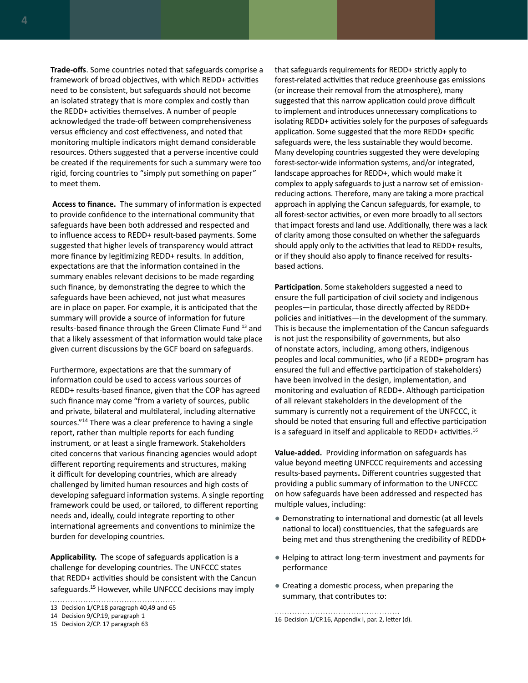**Trade-offs**. Some countries noted that safeguards comprise a framework of broad objectives, with which REDD+ activities need to be consistent, but safeguards should not become an isolated strategy that is more complex and costly than the REDD+ activities themselves. A number of people acknowledged the trade-off between comprehensiveness versus efficiency and cost effectiveness, and noted that monitoring multiple indicators might demand considerable resources. Others suggested that a perverse incentive could be created if the requirements for such a summary were too rigid, forcing countries to "simply put something on paper" to meet them.

**Access to finance.** The summary of information is expected to provide confidence to the international community that safeguards have been both addressed and respected and to influence access to REDD+ result-based payments. Some suggested that higher levels of transparency would attract more finance by legitimizing REDD+ results. In addition, expectations are that the information contained in the summary enables relevant decisions to be made regarding such finance, by demonstrating the degree to which the safeguards have been achieved, not just what measures are in place on paper. For example, it is anticipated that the summary will provide a source of information for future results-based finance through the Green Climate Fund 13 and that a likely assessment of that information would take place given current discussions by the GCF board on safeguards.

Furthermore, expectations are that the summary of information could be used to access various sources of REDD+ results-based finance, given that the COP has agreed such finance may come "from a variety of sources, public and private, bilateral and multilateral, including alternative sources."<sup>14</sup> There was a clear preference to having a single report, rather than multiple reports for each funding instrument, or at least a single framework. Stakeholders cited concerns that various financing agencies would adopt different reporting requirements and structures, making it difficult for developing countries, which are already challenged by limited human resources and high costs of developing safeguard information systems. A single reporting framework could be used, or tailored, to different reporting needs and, ideally, could integrate reporting to other international agreements and conventions to minimize the burden for developing countries.

**Applicability.** The scope of safeguards application is a challenge for developing countries. The UNFCCC states that REDD+ activities should be consistent with the Cancun safeguards.<sup>15</sup> However, while UNFCCC decisions may imply

that safeguards requirements for REDD+ strictly apply to forest-related activities that reduce greenhouse gas emissions (or increase their removal from the atmosphere), many suggested that this narrow application could prove difficult to implement and introduces unnecessary complications to isolating REDD+ activities solely for the purposes of safeguards application. Some suggested that the more REDD+ specific safeguards were, the less sustainable they would become. Many developing countries suggested they were developing forest-sector-wide information systems, and/or integrated, landscape approaches for REDD+, which would make it complex to apply safeguards to just a narrow set of emissionreducing actions. Therefore, many are taking a more practical approach in applying the Cancun safeguards, for example, to all forest-sector activities, or even more broadly to all sectors that impact forests and land use. Additionally, there was a lack of clarity among those consulted on whether the safeguards should apply only to the activities that lead to REDD+ results, or if they should also apply to finance received for resultsbased actions.

**Participation**. Some stakeholders suggested a need to ensure the full participation of civil society and indigenous peoples—in particular, those directly affected by REDD+ policies and initiatives—in the development of the summary. This is because the implementation of the Cancun safeguards is not just the responsibility of governments, but also of nonstate actors, including, among others, indigenous peoples and local communities, who (if a REDD+ program has ensured the full and effective participation of stakeholders) have been involved in the design, implementation, and monitoring and evaluation of REDD+. Although participation of all relevant stakeholders in the development of the summary is currently not a requirement of the UNFCCC, it should be noted that ensuring full and effective participation is a safeguard in itself and applicable to REDD+ activities.16

**Value-added.** Providing information on safeguards has value beyond meeting UNFCCC requirements and accessing results-based payments**.** Different countries suggested that providing a public summary of information to the UNFCCC on how safeguards have been addressed and respected has multiple values, including:

- Demonstrating to international and domestic (at all levels national to local) constituencies, that the safeguards are being met and thus strengthening the credibility of REDD+
- Helping to attract long-term investment and payments for performance
- Creating a domestic process, when preparing the summary, that contributes to:

<sup>13</sup> Decision 1/CP.18 paragraph 40,49 and 65

<sup>14</sup> Decision 9/CP.19, paragraph 1

<sup>16</sup> Decision 1/CP.16, Appendix I, par. 2, letter (d).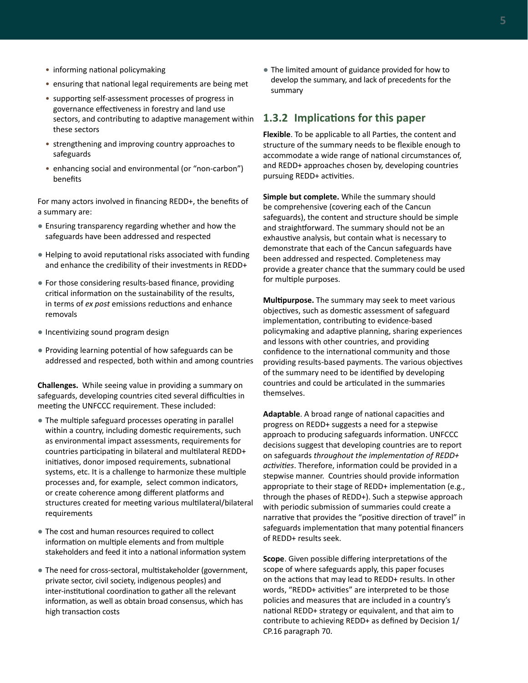- <span id="page-10-0"></span>• informing national policymaking
- ensuring that national legal requirements are being met
- supporting self-assessment processes of progress in governance effectiveness in forestry and land use sectors, and contributing to adaptive management within these sectors
- strengthening and improving country approaches to safeguards
- enhancing social and environmental (or "non-carbon") benefits

For many actors involved in financing REDD+, the benefits of a summary are:

- Ensuring transparency regarding whether and how the safeguards have been addressed and respected
- Helping to avoid reputational risks associated with funding and enhance the credibility of their investments in REDD+
- For those considering results-based finance, providing critical information on the sustainability of the results, in terms of *ex post* emissions reductions and enhance removals
- Incentivizing sound program design
- Providing learning potential of how safeguards can be addressed and respected, both within and among countries

**Challenges.** While seeing value in providing a summary on safeguards, developing countries cited several difficulties in meeting the UNFCCC requirement. These included:

- The multiple safeguard processes operating in parallel within a country, including domestic requirements, such as environmental impact assessments, requirements for countries participating in bilateral and multilateral REDD+ initiatives, donor imposed requirements, subnational systems, etc. It is a challenge to harmonize these multiple processes and, for example, select common indicators, or create coherence among different platforms and structures created for meeting various multilateral/bilateral requirements
- The cost and human resources required to collect information on multiple elements and from multiple stakeholders and feed it into a national information system
- The need for cross-sectoral, multistakeholder (government, private sector, civil society, indigenous peoples) and inter-institutional coordination to gather all the relevant information, as well as obtain broad consensus, which has high transaction costs

● The limited amount of guidance provided for how to develop the summary, and lack of precedents for the summary

#### **1.3.2 Implications for this paper**

**Flexible**. To be applicable to all Parties, the content and structure of the summary needs to be flexible enough to accommodate a wide range of national circumstances of, and REDD+ approaches chosen by, developing countries pursuing REDD+ activities.

**Simple but complete.** While the summary should be comprehensive (covering each of the Cancun safeguards), the content and structure should be simple and straightforward. The summary should not be an exhaustive analysis, but contain what is necessary to demonstrate that each of the Cancun safeguards have been addressed and respected. Completeness may provide a greater chance that the summary could be used for multiple purposes.

**Multipurpose.** The summary may seek to meet various objectives, such as domestic assessment of safeguard implementation, contributing to evidence-based policymaking and adaptive planning, sharing experiences and lessons with other countries, and providing confidence to the international community and those providing results-based payments. The various objectives of the summary need to be identified by developing countries and could be articulated in the summaries themselves.

**Adaptable**. A broad range of national capacities and progress on REDD+ suggests a need for a stepwise approach to producing safeguards information. UNFCCC decisions suggest that developing countries are to report on safeguards *throughout the implementation of REDD+ activities*. Therefore, information could be provided in a stepwise manner. Countries should provide information appropriate to their stage of REDD+ implementation (e.g., through the phases of REDD+). Such a stepwise approach with periodic submission of summaries could create a narrative that provides the "positive direction of travel" in safeguards implementation that many potential financers of REDD+ results seek.

**Scope**. Given possible differing interpretations of the scope of where safeguards apply, this paper focuses on the actions that may lead to REDD+ results. In other words, "REDD+ activities" are interpreted to be those policies and measures that are included in a country's national REDD+ strategy or equivalent, and that aim to contribute to achieving REDD+ as defined by Decision 1/ CP.16 paragraph 70.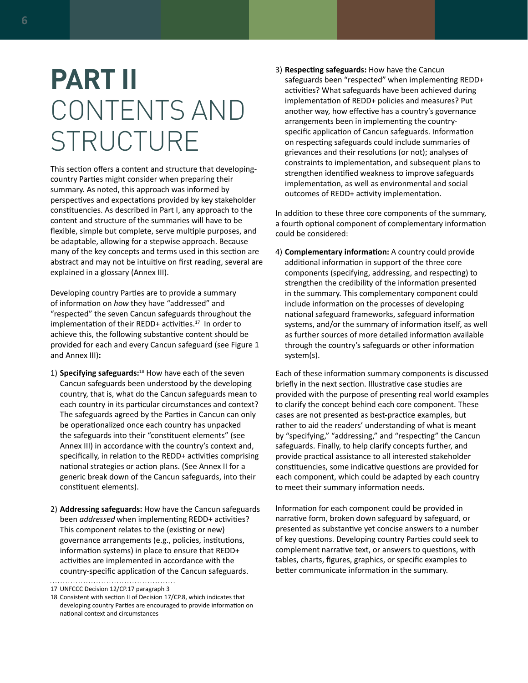# <span id="page-11-0"></span>**PART II** CONTENTS AND **STRUCTURE**

This section offers a content and structure that developingcountry Parties might consider when preparing their summary. As noted, this approach was informed by perspectives and expectations provided by key stakeholder constituencies. As described in Part I, any approach to the content and structure of the summaries will have to be flexible, simple but complete, serve multiple purposes, and be adaptable, allowing for a stepwise approach. Because many of the key concepts and terms used in this section are abstract and may not be intuitive on first reading, several are explained in a glossary (Annex III).

Developing country Parties are to provide a summary of information on *how* they have "addressed" and "respected" the seven Cancun safeguards throughout the implementation of their REDD+ activities.<sup>17</sup> In order to achieve this, the following substantive content should be provided for each and every Cancun safeguard (see Figure 1 and Annex III)**:**

- 1) **Specifying safeguards:**<sup>18</sup> How have each of the seven Cancun safeguards been understood by the developing country, that is, what do the Cancun safeguards mean to each country in its particular circumstances and context? The safeguards agreed by the Parties in Cancun can only be operationalized once each country has unpacked the safeguards into their "constituent elements" (see Annex III) in accordance with the country's context and, specifically, in relation to the REDD+ activities comprising national strategies or action plans. (See Annex II for a generic break down of the Cancun safeguards, into their constituent elements).
- 2) **Addressing safeguards:** How have the Cancun safeguards been *addressed* when implementing REDD+ activities? This component relates to the (existing or new) governance arrangements (e.g., policies, institutions, information systems) in place to ensure that REDD+ activities are implemented in accordance with the country-specific application of the Cancun safeguards.

3) **Respecting safeguards:** How have the Cancun safeguards been "respected" when implementing REDD+ activities? What safeguards have been achieved during implementation of REDD+ policies and measures? Put another way, how effective has a country's governance arrangements been in implementing the countryspecific application of Cancun safeguards. Information on respecting safeguards could include summaries of grievances and their resolutions (or not); analyses of constraints to implementation, and subsequent plans to strengthen identified weakness to improve safeguards implementation, as well as environmental and social outcomes of REDD+ activity implementation.

In addition to these three core components of the summary, a fourth optional component of complementary information could be considered:

4) **Complementary information:** A country could provide additional information in support of the three core components (specifying, addressing, and respecting) to strengthen the credibility of the information presented in the summary. This complementary component could include information on the processes of developing national safeguard frameworks, safeguard information systems, and/or the summary of information itself, as well as further sources of more detailed information available through the country's safeguards or other information system(s).

Each of these information summary components is discussed briefly in the next section. Illustrative case studies are provided with the purpose of presenting real world examples to clarify the concept behind each core component. These cases are not presented as best-practice examples, but rather to aid the readers' understanding of what is meant by "specifying," "addressing," and "respecting" the Cancun safeguards. Finally, to help clarify concepts further, and provide practical assistance to all interested stakeholder constituencies, some indicative questions are provided for each component, which could be adapted by each country to meet their summary information needs.

Information for each component could be provided in narrative form, broken down safeguard by safeguard, or presented as substantive yet concise answers to a number of key questions. Developing country Parties could seek to complement narrative text, or answers to questions, with tables, charts, figures, graphics, or specific examples to better communicate information in the summary.

<sup>17</sup> UNFCCC Decision 12/CP.17 paragraph 3

<sup>18</sup> Consistent with section II of Decision 17/CP.8, which indicates that developing country Parties are encouraged to provide information on national context and circumstances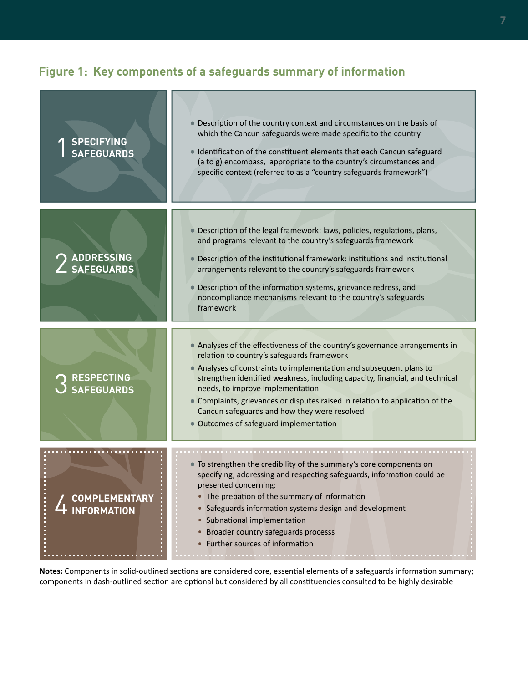# **Figure 1: Key components of a safeguards summary of information**

| <b>SPECIFYING</b><br><b>SAFEGUARDS</b> | • Description of the country context and circumstances on the basis of<br>which the Cancun safeguards were made specific to the country<br>Identification of the constituent elements that each Cancun safeguard<br>(a to g) encompass, appropriate to the country's circumstances and<br>specific context (referred to as a "country safeguards framework")                                                                                                                                    |
|----------------------------------------|-------------------------------------------------------------------------------------------------------------------------------------------------------------------------------------------------------------------------------------------------------------------------------------------------------------------------------------------------------------------------------------------------------------------------------------------------------------------------------------------------|
| <b>ADDRESSING</b><br><b>SAFEGUARDS</b> | • Description of the legal framework: laws, policies, regulations, plans,<br>and programs relevant to the country's safeguards framework<br>Description of the institutional framework: institutions and institutional<br>arrangements relevant to the country's safeguards framework<br>Description of the information systems, grievance redress, and<br>$\bullet$<br>noncompliance mechanisms relevant to the country's safeguards<br>framework                                              |
| <b>RESPECTING<br/>SAFEGUARDS</b>       | • Analyses of the effectiveness of the country's governance arrangements in<br>relation to country's safeguards framework<br>• Analyses of constraints to implementation and subsequent plans to<br>strengthen identified weakness, including capacity, financial, and technical<br>needs, to improve implementation<br>• Complaints, grievances or disputes raised in relation to application of the<br>Cancun safeguards and how they were resolved<br>• Outcomes of safeguard implementation |
| <b>COMPLEMENTARY</b><br>INFORMATION    | • To strengthen the credibility of the summary's core components on<br>specifying, addressing and respecting safeguards, information could be<br>presented concerning:<br>• The prepation of the summary of information<br>• Safeguards information systems design and development<br>• Subnational implementation<br>• Broader country safeguards processs<br>• Further sources of information                                                                                                 |

**Notes:** Components in solid-outlined sections are considered core, essential elements of a safeguards information summary; components in dash-outlined section are optional but considered by all constituencies consulted to be highly desirable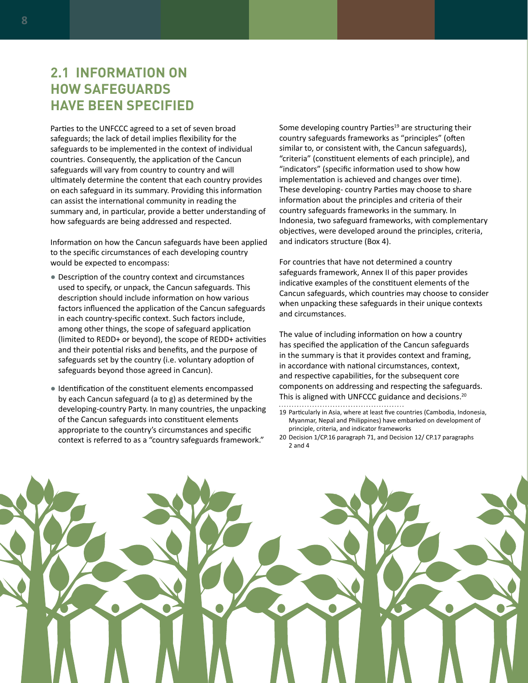# <span id="page-13-0"></span>**2.1 INFORMATION ON HOW SAFEGUARDS HAVE BEEN SPECIFIED**

Parties to the UNFCCC agreed to a set of seven broad safeguards; the lack of detail implies flexibility for the safeguards to be implemented in the context of individual countries. Consequently, the application of the Cancun safeguards will vary from country to country and will ultimately determine the content that each country provides on each safeguard in its summary. Providing this information can assist the international community in reading the summary and, in particular, provide a better understanding of how safeguards are being addressed and respected.

Information on how the Cancun safeguards have been applied to the specific circumstances of each developing country would be expected to encompass:

- Description of the country context and circumstances used to specify, or unpack, the Cancun safeguards. This description should include information on how various factors influenced the application of the Cancun safeguards in each country-specific context. Such factors include, among other things, the scope of safeguard application (limited to REDD+ or beyond), the scope of REDD+ activities and their potential risks and benefits, and the purpose of safeguards set by the country (i.e. voluntary adoption of safeguards beyond those agreed in Cancun).
- Identification of the constituent elements encompassed by each Cancun safeguard (a to g) as determined by the developing-country Party. In many countries, the unpacking of the Cancun safeguards into constituent elements appropriate to the country's circumstances and specific context is referred to as a "country safeguards framework."

Some developing country Parties<sup>19</sup> are structuring their country safeguards frameworks as "principles" (often similar to, or consistent with, the Cancun safeguards), "criteria" (constituent elements of each principle), and "indicators" (specific information used to show how implementation is achieved and changes over time). These developing- country Parties may choose to share information about the principles and criteria of their country safeguards frameworks in the summary. In Indonesia, two safeguard frameworks, with complementary objectives, were developed around the principles, criteria, and indicators structure (Box 4).

For countries that have not determined a country safeguards framework, Annex II of this paper provides indicative examples of the constituent elements of the Cancun safeguards, which countries may choose to consider when unpacking these safeguards in their unique contexts and circumstances.

The value of including information on how a country has specified the application of the Cancun safeguards in the summary is that it provides context and framing, in accordance with national circumstances, context, and respective capabilities, for the subsequent core components on addressing and respecting the safeguards. This is aligned with UNFCCC guidance and decisions.<sup>20</sup> 

- 19 Particularly in Asia, where at least five countries (Cambodia, Indonesia, Myanmar, Nepal and Philippines) have embarked on development of principle, criteria, and indicator frameworks
- 20 Decision 1/CP.16 paragraph 71, and Decision 12/ CP.17 paragraphs 2 and 4

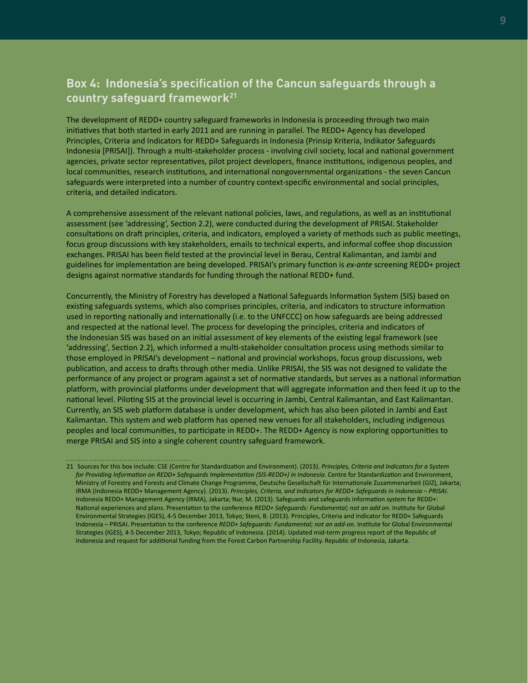## **Box 4: Indonesia's specification of the Cancun safeguards through a country safeguard framework21**

The development of REDD+ country safeguard frameworks in Indonesia is proceeding through two main initiatives that both started in early 2011 and are running in parallel. The REDD+ Agency has developed Principles, Criteria and Indicators for REDD+ Safeguards in Indonesia (Prinsip Kriteria, Indikator Safeguards Indonesia [PRISAI]). Through a multi-stakeholder process - involving civil society, local and national government agencies, private sector representatives, pilot project developers, finance institutions, indigenous peoples, and local communities, research institutions, and international nongovernmental organizations - the seven Cancun safeguards were interpreted into a number of country context-specific environmental and social principles, criteria, and detailed indicators.

A comprehensive assessment of the relevant national policies, laws, and regulations, as well as an institutional assessment (see 'addressing', Section 2.2), were conducted during the development of PRISAI. Stakeholder consultations on draft principles, criteria, and indicators, employed a variety of methods such as public meetings, focus group discussions with key stakeholders, emails to technical experts, and informal coffee shop discussion exchanges. PRISAI has been field tested at the provincial level in Berau, Central Kalimantan, and Jambi and guidelines for implementation are being developed. PRISAI's primary function is *ex-ante* screening REDD+ project designs against normative standards for funding through the national REDD+ fund.

Concurrently, the Ministry of Forestry has developed a National Safeguards Information System (SIS) based on existing safeguards systems, which also comprises principles, criteria, and indicators to structure information used in reporting nationally and internationally (i.e. to the UNFCCC) on how safeguards are being addressed and respected at the national level. The process for developing the principles, criteria and indicators of the Indonesian SIS was based on an initial assessment of key elements of the existing legal framework (see 'addressing', Section 2.2), which informed a multi-stakeholder consultation process using methods similar to those employed in PRISAI's development – national and provincial workshops, focus group discussions, web publication, and access to drafts through other media. Unlike PRISAI, the SIS was not designed to validate the performance of any project or program against a set of normative standards, but serves as a national information platform, with provincial platforms under development that will aggregate information and then feed it up to the national level. Piloting SIS at the provincial level is occurring in Jambi, Central Kalimantan, and East Kalimantan. Currently, an SIS web platform database is under development, which has also been piloted in Jambi and East Kalimantan. This system and web platform has opened new venues for all stakeholders, including indigenous peoples and local communities, to participate in REDD+. The REDD+ Agency is now exploring opportunities to merge PRISAI and SIS into a single coherent country safeguard framework.

<sup>21</sup> Sources for this box include: CSE (Centre for Standardization and Environment). (2013). *Principles, Criteria and Indicators for a System for Providing Information on REDD+ Safeguards Implementation (SIS-REDD+) in Indonesia*. Centre for Standardization and Environment, Ministry of Forestry and Forests and Climate Change Programme, Deutsche Gesellschaft für Internationale Zusammenarbeit (GIZ), Jakarta; IRMA (Indonesia REDD+ Management Agency). (2013). *Principles, Criteria, and Indicators for REDD+ Safeguards in Indonesia – PRISAI*. Indonesia REDD+ Management Agency (IRMA), Jakarta; Nur, M. (2013). Safeguards and safeguards information system for REDD+: National experiences and plans. Presentation to the conference *REDD+ Safeguards: Fundamental; not an add on.* Institute for Global Environmental Strategies (IGES), 4-5 December 2013, Tokyo; Steni, B. (2013). Principles, Criteria and Indicator for REDD+ Safeguards Indonesia – PRISAI. Presentation to the conference *REDD+ Safeguards: Fundamental; not an add-on.* Institute for Global Environmental Strategies (IGES), 4-5 December 2013, Tokyo; Republic of Indonesia. (2014). Updated mid-term progress report of the Republic of Indonesia and request for additional funding from the Forest Carbon Partnership Facility. Republic of Indonesia, Jakarta.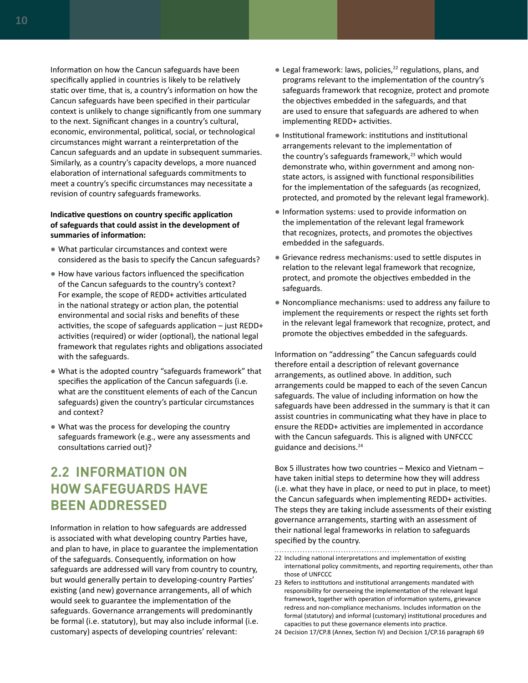<span id="page-15-0"></span>Information on how the Cancun safeguards have been specifically applied in countries is likely to be relatively static over time, that is, a country's information on how the Cancun safeguards have been specified in their particular context is unlikely to change significantly from one summary to the next. Significant changes in a country's cultural, economic, environmental, political, social, or technological circumstances might warrant a reinterpretation of the Cancun safeguards and an update in subsequent summaries. Similarly, as a country's capacity develops, a more nuanced elaboration of international safeguards commitments to meet a country's specific circumstances may necessitate a revision of country safeguards frameworks.

#### **Indicative questions on country specific application of safeguards that could assist in the development of summaries of information:**

- What particular circumstances and context were considered as the basis to specify the Cancun safeguards?
- How have various factors influenced the specification of the Cancun safeguards to the country's context? For example, the scope of REDD+ activities articulated in the national strategy or action plan, the potential environmental and social risks and benefits of these activities, the scope of safeguards application – just REDD+ activities (required) or wider (optional), the national legal framework that regulates rights and obligations associated with the safeguards.
- What is the adopted country "safeguards framework" that specifies the application of the Cancun safeguards (i.e. what are the constituent elements of each of the Cancun safeguards) given the country's particular circumstances and context?
- What was the process for developing the country safeguards framework (e.g., were any assessments and consultations carried out)?

# **2.2 INFORMATION ON HOW SAFEGUARDS HAVE BEEN ADDRESSED**

Information in relation to how safeguards are addressed is associated with what developing country Parties have, and plan to have, in place to guarantee the implementation of the safeguards. Consequently, information on how safeguards are addressed will vary from country to country, but would generally pertain to developing-country Parties' existing (and new) governance arrangements, all of which would seek to guarantee the implementation of the safeguards. Governance arrangements will predominantly be formal (i.e. statutory), but may also include informal (i.e. customary) aspects of developing countries' relevant:

- $\bullet$  Legal framework: laws, policies,<sup>22</sup> regulations, plans, and programs relevant to the implementation of the country's safeguards framework that recognize, protect and promote the objectives embedded in the safeguards, and that are used to ensure that safeguards are adhered to when implementing REDD+ activities.
- Institutional framework: institutions and institutional arrangements relevant to the implementation of the country's safeguards framework,<sup>23</sup> which would demonstrate who, within government and among nonstate actors, is assigned with functional responsibilities for the implementation of the safeguards (as recognized, protected, and promoted by the relevant legal framework).
- Information systems: used to provide information on the implementation of the relevant legal framework that recognizes, protects, and promotes the objectives embedded in the safeguards.
- Grievance redress mechanisms: used to settle disputes in relation to the relevant legal framework that recognize, protect, and promote the objectives embedded in the safeguards.
- Noncompliance mechanisms: used to address any failure to implement the requirements or respect the rights set forth in the relevant legal framework that recognize, protect, and promote the objectives embedded in the safeguards.

Information on "addressing" the Cancun safeguards could therefore entail a description of relevant governance arrangements, as outlined above. In addition, such arrangements could be mapped to each of the seven Cancun safeguards. The value of including information on how the safeguards have been addressed in the summary is that it can assist countries in communicating what they have in place to ensure the REDD+ activities are implemented in accordance with the Cancun safeguards. This is aligned with UNFCCC guidance and decisions.24

Box 5 illustrates how two countries – Mexico and Vietnam – have taken initial steps to determine how they will address (i.e. what they have in place, or need to put in place, to meet) the Cancun safeguards when implementing REDD+ activities. The steps they are taking include assessments of their existing governance arrangements, starting with an assessment of their national legal frameworks in relation to safeguards specified by the country.

<sup>22</sup> Including national interpretations and implementation of existing international policy commitments, and reporting requirements, other than those of UNFCCC

<sup>23</sup> Refers to institutions and institutional arrangements mandated with responsibility for overseeing the implementation of the relevant legal framework, together with operation of information systems, grievance redress and non-compliance mechanisms. Includes information on the formal (statutory) and informal (customary) institutional procedures and capacities to put these governance elements into practice.

<sup>24</sup> Decision 17/CP.8 (Annex, Section IV) and Decision 1/CP.16 paragraph 69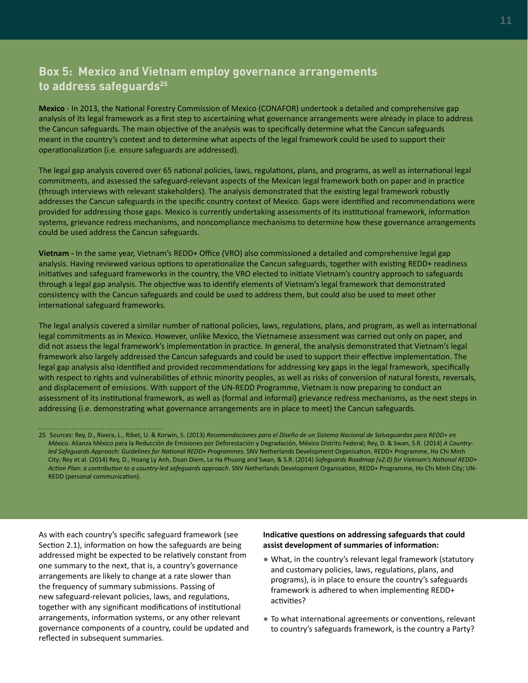## **Box 5: Mexico and Vietnam employ governance arrangements to address safeguards<sup>25</sup>**

**Mexico** - In 2013, the National Forestry Commission of Mexico (CONAFOR) undertook a detailed and comprehensive gap analysis of its legal framework as a first step to ascertaining what governance arrangements were already in place to address the Cancun safeguards. The main objective of the analysis was to specifically determine what the Cancun safeguards meant in the country's context and to determine what aspects of the legal framework could be used to support their operationalization (i.e. ensure safeguards are addressed).

The legal gap analysis covered over 65 national policies, laws, regulations, plans, and programs, as well as international legal commitments, and assessed the safeguard-relevant aspects of the Mexican legal framework both on paper and in practice (through interviews with relevant stakeholders). The analysis demonstrated that the existing legal framework robustly addresses the Cancun safeguards in the specific country context of Mexico. Gaps were identified and recommendations were provided for addressing those gaps. Mexico is currently undertaking assessments of its institutional framework, information systems, grievance redress mechanisms, and noncompliance mechanisms to determine how these governance arrangements could be used address the Cancun safeguards.

**Vietnam -** In the same year, Vietnam's REDD+ Office (VRO) also commissioned a detailed and comprehensive legal gap analysis. Having reviewed various options to operationalize the Cancun safeguards, together with existing REDD+ readiness initiatives and safeguard frameworks in the country, the VRO elected to initiate Vietnam's country approach to safeguards through a legal gap analysis. The objective was to identify elements of Vietnam's legal framework that demonstrated consistency with the Cancun safeguards and could be used to address them, but could also be used to meet other international safeguard frameworks.

The legal analysis covered a similar number of national policies, laws, regulations, plans, and program, as well as international legal commitments as in Mexico. However, unlike Mexico, the Vietnamese assessment was carried out only on paper, and did not assess the legal framework's implementation in practice. In general, the analysis demonstrated that Vietnam's legal framework also largely addressed the Cancun safeguards and could be used to support their effective implementation. The legal gap analysis also identified and provided recommendations for addressing key gaps in the legal framework, specifically with respect to rights and vulnerabilities of ethnic minority peoples, as well as risks of conversion of natural forests, reversals, and displacement of emissions. With support of the UN-REDD Programme, Vietnam is now preparing to conduct an assessment of its institutional framework, as well as (formal and informal) grievance redress mechanisms, as the next steps in addressing (i.e. demonstrating what governance arrangements are in place to meet) the Cancun safeguards.

As with each country's specific safeguard framework (see Section 2.1), information on how the safeguards are being addressed might be expected to be relatively constant from one summary to the next, that is, a country's governance arrangements are likely to change at a rate slower than the frequency of summary submissions. Passing of new safeguard-relevant policies, laws, and regulations, together with any significant modifications of institutional arrangements, information systems, or any other relevant governance components of a country, could be updated and reflected in subsequent summaries.

#### **Indicative questions on addressing safeguards that could assist development of summaries of information:**

- What, in the country's relevant legal framework (statutory and customary policies, laws, regulations, plans, and programs), is in place to ensure the country's safeguards framework is adhered to when implementing REDD+ activities?
- To what international agreements or conventions, relevant to country's safeguards framework, is the country a Party?

<sup>25</sup> Sources: Rey, D., Rivera, L., Ribet, U. & Korwin, S. (2013) *Recomendaciones para el Diseño de un Sistema Nacional de Salvaguardas para REDD+ en México*. Alianza México para la Reducción de Emisiones por Deforestación y Degradación, México Distrito Federal; Rey, D. & Swan, S.R. (2014) *A Countryled Safeguards Approach: Guidelines for National REDD+ Programmes*. SNV Netherlands Development Organisation, REDD+ Programme, Ho Chi Minh City; Rey et al. (2014) Rey, D., Hoang Ly Anh, Doan Diem, Le Ha Phuong and Swan, & S.R. (2014) *Safeguards Roadmap (v2.0) for Vietnam's National REDD+ Action Plan: a contribution to a country-led safeguards approach*. SNV Netherlands Development Organisation, REDD+ Programme, Ho Chi Minh City; UN-REDD (personal communication).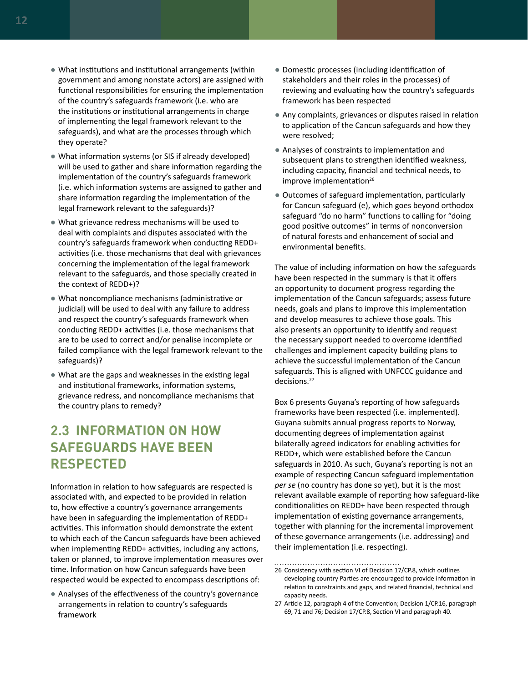- <span id="page-17-0"></span>● What institutions and institutional arrangements (within government and among nonstate actors) are assigned with functional responsibilities for ensuring the implementation of the country's safeguards framework (i.e. who are the institutions or institutional arrangements in charge of implementing the legal framework relevant to the safeguards), and what are the processes through which they operate?
- What information systems (or SIS if already developed) will be used to gather and share information regarding the implementation of the country's safeguards framework (i.e. which information systems are assigned to gather and share information regarding the implementation of the legal framework relevant to the safeguards)?
- What grievance redress mechanisms will be used to deal with complaints and disputes associated with the country's safeguards framework when conducting REDD+ activities (i.e. those mechanisms that deal with grievances concerning the implementation of the legal framework relevant to the safeguards, and those specially created in the context of REDD+)?
- What noncompliance mechanisms (administrative or judicial) will be used to deal with any failure to address and respect the country's safeguards framework when conducting REDD+ activities (i.e. those mechanisms that are to be used to correct and/or penalise incomplete or failed compliance with the legal framework relevant to the safeguards)?
- What are the gaps and weaknesses in the existing legal and institutional frameworks, information systems, grievance redress, and noncompliance mechanisms that the country plans to remedy?

# **2.3 INFORMATION ON HOW SAFEGUARDS HAVE BEEN RESPECTED**

Information in relation to how safeguards are respected is associated with, and expected to be provided in relation to, how effective a country's governance arrangements have been in safeguarding the implementation of REDD+ activities. This information should demonstrate the extent to which each of the Cancun safeguards have been achieved when implementing REDD+ activities, including any actions, taken or planned, to improve implementation measures over time. Information on how Cancun safeguards have been respected would be expected to encompass descriptions of:

● Analyses of the effectiveness of the country's governance arrangements in relation to country's safeguards framework

- Domestic processes (including identification of stakeholders and their roles in the processes) of reviewing and evaluating how the country's safeguards framework has been respected
- Any complaints, grievances or disputes raised in relation to application of the Cancun safeguards and how they were resolved;
- Analyses of constraints to implementation and subsequent plans to strengthen identified weakness, including capacity, financial and technical needs, to improve implementation $26$
- Outcomes of safeguard implementation, particularly for Cancun safeguard (e), which goes beyond orthodox safeguard "do no harm" functions to calling for "doing good positive outcomes" in terms of nonconversion of natural forests and enhancement of social and environmental benefits.

The value of including information on how the safeguards have been respected in the summary is that it offers an opportunity to document progress regarding the implementation of the Cancun safeguards; assess future needs, goals and plans to improve this implementation and develop measures to achieve those goals. This also presents an opportunity to identify and request the necessary support needed to overcome identified challenges and implement capacity building plans to achieve the successful implementation of the Cancun safeguards. This is aligned with UNFCCC guidance and decisions.27

Box 6 presents Guyana's reporting of how safeguards frameworks have been respected (i.e. implemented). Guyana submits annual progress reports to Norway, documenting degrees of implementation against bilaterally agreed indicators for enabling activities for REDD+, which were established before the Cancun safeguards in 2010. As such, Guyana's reporting is not an example of respecting Cancun safeguard implementation *per se* (no country has done so yet), but it is the most relevant available example of reporting how safeguard-like conditionalities on REDD+ have been respected through implementation of existing governance arrangements, together with planning for the incremental improvement of these governance arrangements (i.e. addressing) and their implementation (i.e. respecting).

<sup>26</sup> Consistency with section VI of Decision 17/CP.8, which outlines developing country Parties are encouraged to provide information in relation to constraints and gaps, and related financial, technical and capacity needs.

<sup>27</sup> Article 12, paragraph 4 of the Convention; Decision 1/CP.16, paragraph 69, 71 and 76; Decision 17/CP.8, Section VI and paragraph 40.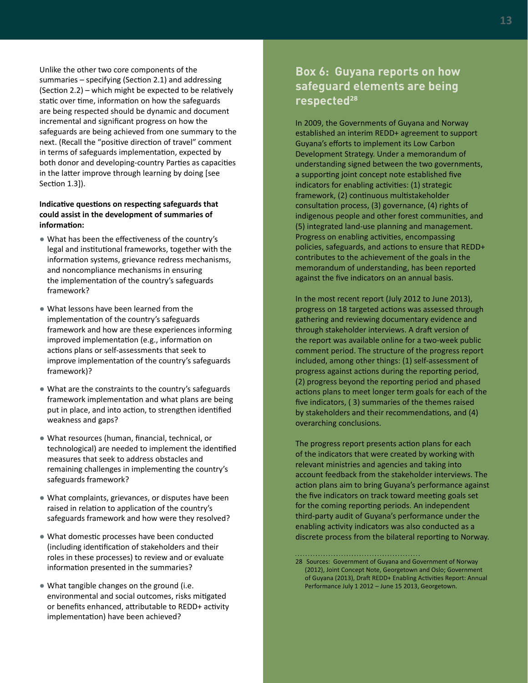Unlike the other two core components of the summaries – specifying (Section 2.1) and addressing (Section 2.2) – which might be expected to be relatively static over time, information on how the safeguards are being respected should be dynamic and document incremental and significant progress on how the safeguards are being achieved from one summary to the next. (Recall the "positive direction of travel" comment in terms of safeguards implementation, expected by both donor and developing-country Parties as capacities in the latter improve through learning by doing [see Section 1.3]).

#### **Indicative questions on respecting safeguards that could assist in the development of summaries of information:**

- What has been the effectiveness of the country's legal and institutional frameworks, together with the information systems, grievance redress mechanisms, and noncompliance mechanisms in ensuring the implementation of the country's safeguards framework?
- What lessons have been learned from the implementation of the country's safeguards framework and how are these experiences informing improved implementation (e.g., information on actions plans or self-assessments that seek to improve implementation of the country's safeguards framework)?
- What are the constraints to the country's safeguards framework implementation and what plans are being put in place, and into action, to strengthen identified weakness and gaps?
- What resources (human, financial, technical, or technological) are needed to implement the identified measures that seek to address obstacles and remaining challenges in implementing the country's safeguards framework?
- What complaints, grievances, or disputes have been raised in relation to application of the country's safeguards framework and how were they resolved?
- What domestic processes have been conducted (including identification of stakeholders and their roles in these processes) to review and or evaluate information presented in the summaries?
- What tangible changes on the ground (i.e. environmental and social outcomes, risks mitigated or benefits enhanced, attributable to REDD+ activity implementation) have been achieved?

### **Box 6: Guyana reports on how safeguard elements are being respected<sup>28</sup>**

In 2009, the Governments of Guyana and Norway established an interim REDD+ agreement to support Guyana's efforts to implement its Low Carbon Development Strategy. Under a memorandum of understanding signed between the two governments, a supporting joint concept note established five indicators for enabling activities: (1) strategic framework, (2) continuous multistakeholder consultation process, (3) governance, (4) rights of indigenous people and other forest communities, and (5) integrated land-use planning and management. Progress on enabling activities, encompassing policies, safeguards, and actions to ensure that REDD+ contributes to the achievement of the goals in the memorandum of understanding, has been reported against the five indicators on an annual basis.

In the most recent report (July 2012 to June 2013), progress on 18 targeted actions was assessed through gathering and reviewing documentary evidence and through stakeholder interviews. A draft version of the report was available online for a two-week public comment period. The structure of the progress report included, among other things: (1) self-assessment of progress against actions during the reporting period, (2) progress beyond the reporting period and phased actions plans to meet longer term goals for each of the five indicators, ( 3) summaries of the themes raised by stakeholders and their recommendations, and (4) overarching conclusions.

The progress report presents action plans for each of the indicators that were created by working with relevant ministries and agencies and taking into account feedback from the stakeholder interviews. The action plans aim to bring Guyana's performance against the five indicators on track toward meeting goals set for the coming reporting periods. An independent third-party audit of Guyana's performance under the enabling activity indicators was also conducted as a discrete process from the bilateral reporting to Norway.

<sup>28</sup> Sources: Government of Guyana and Government of Norway (2012), Joint Concept Note, Georgetown and Oslo; Government of Guyana (2013), Draft REDD+ Enabling Activities Report: Annual Performance July 1 2012 – June 15 2013, Georgetown.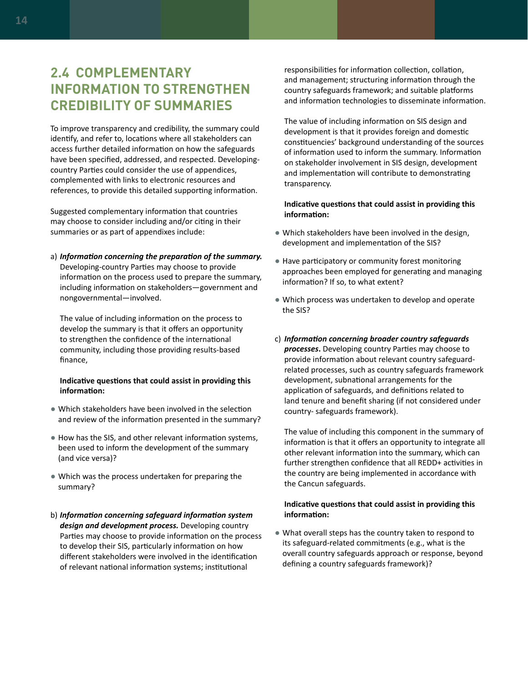# <span id="page-19-0"></span>**2.4 COMPLEMENTARY INFORMATION TO STRENGTHEN CREDIBILITY OF SUMMARIES**

To improve transparency and credibility, the summary could identify, and refer to, locations where all stakeholders can access further detailed information on how the safeguards have been specified, addressed, and respected. Developingcountry Parties could consider the use of appendices, complemented with links to electronic resources and references, to provide this detailed supporting information.

Suggested complementary information that countries may choose to consider including and/or citing in their summaries or as part of appendixes include:

a) *Information concerning the preparation of the summary.*  Developing-country Parties may choose to provide information on the process used to prepare the summary, including information on stakeholders—government and nongovernmental—involved.

The value of including information on the process to develop the summary is that it offers an opportunity to strengthen the confidence of the international community, including those providing results-based finance,

#### **Indicative questions that could assist in providing this information:**

- Which stakeholders have been involved in the selection and review of the information presented in the summary?
- How has the SIS, and other relevant information systems, been used to inform the development of the summary (and vice versa)?
- Which was the process undertaken for preparing the summary?
- b) *Information concerning safeguard information system design and development process.* Developing country Parties may choose to provide information on the process to develop their SIS, particularly information on how different stakeholders were involved in the identification of relevant national information systems; institutional

responsibilities for information collection, collation, and management; structuring information through the country safeguards framework; and suitable platforms and information technologies to disseminate information.

The value of including information on SIS design and development is that it provides foreign and domestic constituencies' background understanding of the sources of information used to inform the summary. Information on stakeholder involvement in SIS design, development and implementation will contribute to demonstrating transparency.

#### **Indicative questions that could assist in providing this information:**

- Which stakeholders have been involved in the design, development and implementation of the SIS?
- Have participatory or community forest monitoring approaches been employed for generating and managing information? If so, to what extent?
- Which process was undertaken to develop and operate the SIS?
- c) *Information concerning broader country safeguards processes***.** Developing country Parties may choose to provide information about relevant country safeguardrelated processes, such as country safeguards framework development, subnational arrangements for the application of safeguards, and definitions related to land tenure and benefit sharing (if not considered under country- safeguards framework).

The value of including this component in the summary of information is that it offers an opportunity to integrate all other relevant information into the summary, which can further strengthen confidence that all REDD+ activities in the country are being implemented in accordance with the Cancun safeguards.

#### **Indicative questions that could assist in providing this information:**

● What overall steps has the country taken to respond to its safeguard-related commitments (e.g., what is the overall country safeguards approach or response, beyond defining a country safeguards framework)?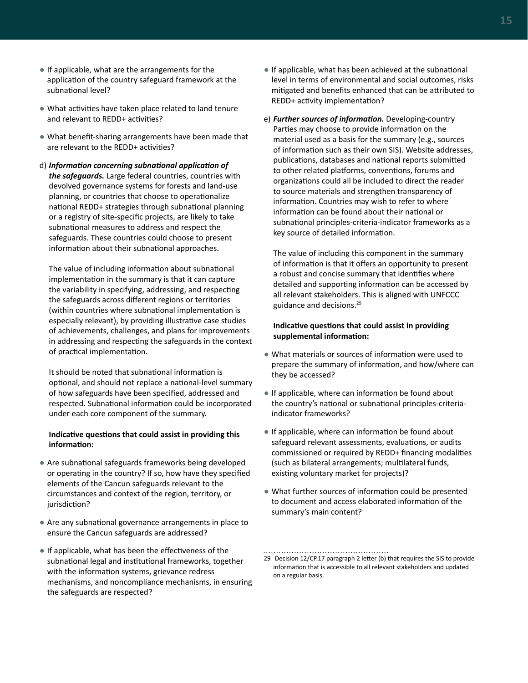- If applicable, what are the arrangements for the application of the country safeguard framework at the subnational level?
- What activities have taken place related to land tenure and relevant to REDD+ activities?
- What benefit-sharing arrangements have been made that are relevant to the REDD+ activities?
- d) *Information concerning subnational application of the safeguards.* Large federal countries, countries with devolved governance systems for forests and land-use planning, or countries that choose to operationalize national REDD+ strategies through subnational planning or a registry of site-specific projects, are likely to take subnational measures to address and respect the safeguards. These countries could choose to present information about their subnational approaches.

The value of including information about subnational implementation in the summary is that it can capture the variability in specifying, addressing, and respecting the safeguards across different regions or territories (within countries where subnational implementation is especially relevant), by providing illustrative case studies of achievements, challenges, and plans for improvements in addressing and respecting the safeguards in the context of practical implementation.

It should be noted that subnational information is optional, and should not replace a national-level summary of how safeguards have been specified, addressed and respected. Subnational information could be incorporated under each core component of the summary.

#### **Indicative questions that could assist in providing this information:**

- Are subnational safeguards frameworks being developed or operating in the country? If so, how have they specified elements of the Cancun safeguards relevant to the circumstances and context of the region, territory, or jurisdiction?
- Are any subnational governance arrangements in place to ensure the Cancun safeguards are addressed?
- If applicable, what has been the effectiveness of the subnational legal and institutional frameworks, together with the information systems, grievance redress mechanisms, and noncompliance mechanisms, in ensuring the safeguards are respected?
- If applicable, what has been achieved at the subnational level in terms of environmental and social outcomes, risks mitigated and benefits enhanced that can be attributed to REDD+ activity implementation?
- e) *Further sources of information.* Developing-country Parties may choose to provide information on the material used as a basis for the summary (e.g., sources of information such as their own SIS). Website addresses, publications, databases and national reports submitted to other related platforms, conventions, forums and organizations could all be included to direct the reader to source materials and strengthen transparency of information. Countries may wish to refer to where information can be found about their national or subnational principles-criteria-indicator frameworks as a key source of detailed information.

The value of including this component in the summary of information is that it offers an opportunity to present a robust and concise summary that identifies where detailed and supporting information can be accessed by all relevant stakeholders. This is aligned with UNFCCC guidance and decisions.29

#### **Indicative questions that could assist in providing supplemental information:**

- What materials or sources of information were used to prepare the summary of information, and how/where can they be accessed?
- If applicable, where can information be found about the country's national or subnational principles-criteriaindicator frameworks?
- If applicable, where can information be found about safeguard relevant assessments, evaluations, or audits commissioned or required by REDD+ financing modalities (such as bilateral arrangements; multilateral funds, existing voluntary market for projects)?
- What further sources of information could be presented to document and access elaborated information of the summary's main content?

<sup>29</sup> Decision 12/CP.17 paragraph 2 letter (b) that requires the SIS to provide information that is accessible to all relevant stakeholders and updated on a regular basis.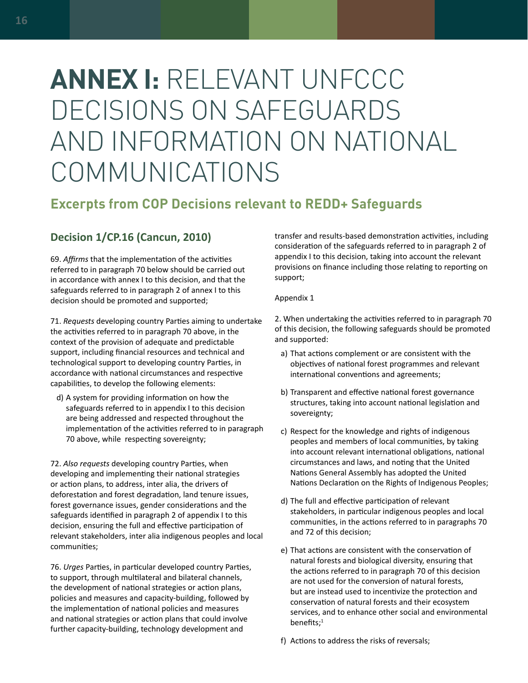# <span id="page-21-0"></span>**ANNEX I:** RELEVANT UNFCCC DECISIONS ON SAFEGUARDS AND INFORMATION ON NATIONAL COMMUNICATIONS

# **Excerpts from COP Decisions relevant to REDD+ Safeguards**

### **Decision 1/CP.16 (Cancun, 2010)**

69. *Affirms* that the implementation of the activities referred to in paragraph 70 below should be carried out in accordance with annex I to this decision, and that the safeguards referred to in paragraph 2 of annex I to this decision should be promoted and supported;

71. *Requests* developing country Parties aiming to undertake the activities referred to in paragraph 70 above, in the context of the provision of adequate and predictable support, including financial resources and technical and technological support to developing country Parties, in accordance with national circumstances and respective capabilities, to develop the following elements:

d) A system for providing information on how the safeguards referred to in appendix I to this decision are being addressed and respected throughout the implementation of the activities referred to in paragraph 70 above, while respecting sovereignty;

72. *Also requests* developing country Parties, when developing and implementing their national strategies or action plans, to address, inter alia, the drivers of deforestation and forest degradation, land tenure issues, forest governance issues, gender considerations and the safeguards identified in paragraph 2 of appendix I to this decision, ensuring the full and effective participation of relevant stakeholders, inter alia indigenous peoples and local communities;

76. *Urges* Parties, in particular developed country Parties, to support, through multilateral and bilateral channels, the development of national strategies or action plans, policies and measures and capacity-building, followed by the implementation of national policies and measures and national strategies or action plans that could involve further capacity-building, technology development and

transfer and results-based demonstration activities, including consideration of the safeguards referred to in paragraph 2 of appendix I to this decision, taking into account the relevant provisions on finance including those relating to reporting on support;

#### Appendix 1

2. When undertaking the activities referred to in paragraph 70 of this decision, the following safeguards should be promoted and supported:

- a) That actions complement or are consistent with the objectives of national forest programmes and relevant international conventions and agreements;
- b) Transparent and effective national forest governance structures, taking into account national legislation and sovereignty;
- c) Respect for the knowledge and rights of indigenous peoples and members of local communities, by taking into account relevant international obligations, national circumstances and laws, and noting that the United Nations General Assembly has adopted the United Nations Declaration on the Rights of Indigenous Peoples;
- d) The full and effective participation of relevant stakeholders, in particular indigenous peoples and local communities, in the actions referred to in paragraphs 70 and 72 of this decision;
- e) That actions are consistent with the conservation of natural forests and biological diversity, ensuring that the actions referred to in paragraph 70 of this decision are not used for the conversion of natural forests, but are instead used to incentivize the protection and conservation of natural forests and their ecosystem services, and to enhance other social and environmental benefits;<sup>1</sup>
- f) Actions to address the risks of reversals;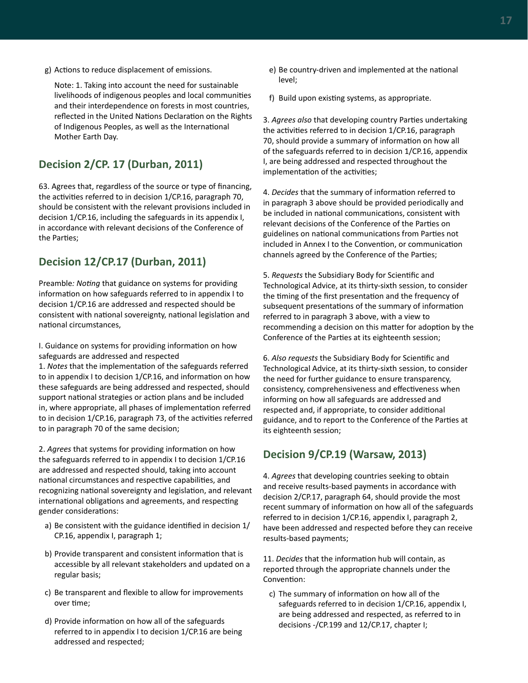g) Actions to reduce displacement of emissions.

Note: 1. Taking into account the need for sustainable livelihoods of indigenous peoples and local communities and their interdependence on forests in most countries, reflected in the United Nations Declaration on the Rights of Indigenous Peoples, as well as the International Mother Earth Day.

### **Decision 2/CP. 17 (Durban, 2011)**

63. Agrees that, regardless of the source or type of financing, the activities referred to in decision 1/CP.16, paragraph 70, should be consistent with the relevant provisions included in decision 1/CP.16, including the safeguards in its appendix I, in accordance with relevant decisions of the Conference of the Parties;

### **Decision 12/CP.17 (Durban, 2011)**

Preamble*: Noting* that guidance on systems for providing information on how safeguards referred to in appendix I to decision 1/CP.16 are addressed and respected should be consistent with national sovereignty, national legislation and national circumstances,

I. Guidance on systems for providing information on how safeguards are addressed and respected

1. *Notes* that the implementation of the safeguards referred to in appendix I to decision 1/CP.16, and information on how these safeguards are being addressed and respected, should support national strategies or action plans and be included in, where appropriate, all phases of implementation referred to in decision 1/CP.16, paragraph 73, of the activities referred to in paragraph 70 of the same decision;

2. *Agrees* that systems for providing information on how the safeguards referred to in appendix I to decision 1/CP.16 are addressed and respected should, taking into account national circumstances and respective capabilities, and recognizing national sovereignty and legislation, and relevant international obligations and agreements, and respecting gender considerations:

- a) Be consistent with the guidance identified in decision 1/ CP.16, appendix I, paragraph 1;
- b) Provide transparent and consistent information that is accessible by all relevant stakeholders and updated on a regular basis;
- c) Be transparent and flexible to allow for improvements over time;
- d) Provide information on how all of the safeguards referred to in appendix I to decision 1/CP.16 are being addressed and respected;
- e) Be country-driven and implemented at the national level;
- f) Build upon existing systems, as appropriate.

3. *Agrees also* that developing country Parties undertaking the activities referred to in decision 1/CP.16, paragraph 70, should provide a summary of information on how all of the safeguards referred to in decision 1/CP.16, appendix I, are being addressed and respected throughout the implementation of the activities;

4. *Decides* that the summary of information referred to in paragraph 3 above should be provided periodically and be included in national communications, consistent with relevant decisions of the Conference of the Parties on guidelines on national communications from Parties not included in Annex I to the Convention, or communication channels agreed by the Conference of the Parties;

5. *Requests* the Subsidiary Body for Scientific and Technological Advice, at its thirty-sixth session, to consider the timing of the first presentation and the frequency of subsequent presentations of the summary of information referred to in paragraph 3 above, with a view to recommending a decision on this matter for adoption by the Conference of the Parties at its eighteenth session;

6. *Also requests* the Subsidiary Body for Scientific and Technological Advice, at its thirty-sixth session, to consider the need for further guidance to ensure transparency, consistency, comprehensiveness and effectiveness when informing on how all safeguards are addressed and respected and, if appropriate, to consider additional guidance, and to report to the Conference of the Parties at its eighteenth session;

# **Decision 9/CP.19 (Warsaw, 2013)**

4. *Agrees* that developing countries seeking to obtain and receive results-based payments in accordance with decision 2/CP.17, paragraph 64, should provide the most recent summary of information on how all of the safeguards referred to in decision 1/CP.16, appendix I, paragraph 2, have been addressed and respected before they can receive results-based payments;

11. *Decides* that the information hub will contain, as reported through the appropriate channels under the Convention:

c) The summary of information on how all of the safeguards referred to in decision 1/CP.16, appendix I, are being addressed and respected, as referred to in decisions -/CP.199 and 12/CP.17, chapter I;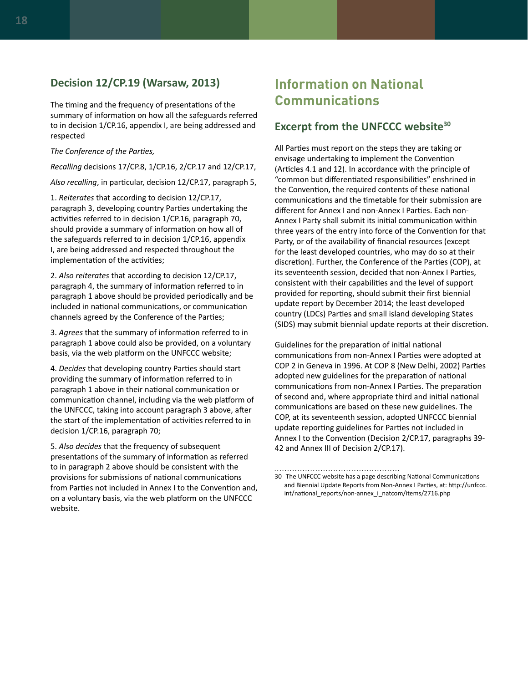#### **Decision 12/CP.19 (Warsaw, 2013)**

The timing and the frequency of presentations of the summary of information on how all the safeguards referred to in decision 1/CP.16, appendix I, are being addressed and respected

#### *The Conference of the Parties,*

*Recalling* decisions 17/CP.8, 1/CP.16, 2/CP.17 and 12/CP.17,

*Also recalling*, in particular, decision 12/CP.17, paragraph 5,

1. *Reiterates* that according to decision 12/CP.17, paragraph 3, developing country Parties undertaking the activities referred to in decision 1/CP.16, paragraph 70, should provide a summary of information on how all of the safeguards referred to in decision 1/CP.16, appendix I, are being addressed and respected throughout the implementation of the activities;

2. *Also reiterates* that according to decision 12/CP.17, paragraph 4, the summary of information referred to in paragraph 1 above should be provided periodically and be included in national communications, or communication channels agreed by the Conference of the Parties;

3. *Agrees* that the summary of information referred to in paragraph 1 above could also be provided, on a voluntary basis, via the web platform on the UNFCCC website;

4. *Decides* that developing country Parties should start providing the summary of information referred to in paragraph 1 above in their national communication or communication channel, including via the web platform of the UNFCCC, taking into account paragraph 3 above, after the start of the implementation of activities referred to in decision 1/CP.16, paragraph 70;

5. *Also decides* that the frequency of subsequent presentations of the summary of information as referred to in paragraph 2 above should be consistent with the provisions for submissions of national communications from Parties not included in Annex I to the Convention and, on a voluntary basis, via the web platform on the UNFCCC website.

# **Information on National Communications**

#### **Excerpt from the UNFCCC website30**

All Parties must report on the steps they are taking or envisage undertaking to implement the Convention (Articles 4.1 and 12). In accordance with the principle of "common but differentiated responsibilities" enshrined in the Convention, the required contents of these national communications and the timetable for their submission are different for Annex I and non-Annex I Parties. Each non-Annex I Party shall submit its initial communication within three years of the entry into force of the Convention for that Party, or of the availability of financial resources (except for the least developed countries, who may do so at their discretion). Further, the Conference of the Parties (COP), at its seventeenth session, decided that non-Annex I Parties, consistent with their capabilities and the level of support provided for reporting, should submit their first biennial update report by December 2014; the least developed country (LDCs) Parties and small island developing States (SIDS) may submit biennial update reports at their discretion.

Guidelines for the preparation of initial national communications from non-Annex I Parties were adopted at COP 2 in Geneva in 1996. At COP 8 (New Delhi, 2002) Parties adopted new guidelines for the preparation of national communications from non-Annex I Parties. The preparation of second and, where appropriate third and initial national communications are based on these new guidelines. The COP, at its seventeenth session, adopted UNFCCC biennial update reporting guidelines for Parties not included in Annex I to the Convention (Decision 2/CP.17, paragraphs 39- 42 and Annex III of Decision 2/CP.17).

<sup>30</sup> The UNFCCC website has a page describing National Communications and Biennial Update Reports from Non-Annex I Parties, at: [http://unfccc.](http://unfccc.int/national_reports/non-annex_i_natcom/items/2716.php) [int/national\\_reports/non-annex\\_i\\_natcom/items/2716.php](http://unfccc.int/national_reports/non-annex_i_natcom/items/2716.php)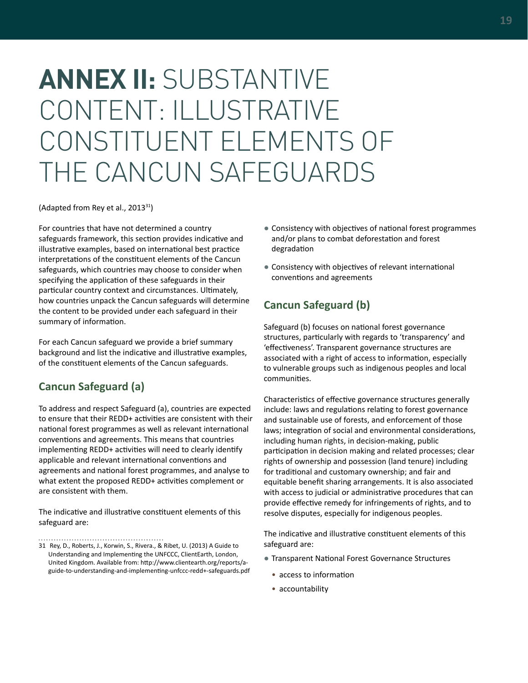# <span id="page-24-0"></span>**ANNEX II:** SUBSTANTIVE CONTENT: ILLUSTRATIVE CONSTITUENT ELEMENTS OF THE CANCUN SAFEGUARDS

(Adapted from Rey et al., 2013<sup>31</sup>)

For countries that have not determined a country safeguards framework, this section provides indicative and illustrative examples, based on international best practice interpretations of the constituent elements of the Cancun safeguards, which countries may choose to consider when specifying the application of these safeguards in their particular country context and circumstances. Ultimately, how countries unpack the Cancun safeguards will determine the content to be provided under each safeguard in their summary of information.

For each Cancun safeguard we provide a brief summary background and list the indicative and illustrative examples, of the constituent elements of the Cancun safeguards.

### **Cancun Safeguard (a)**

To address and respect Safeguard (a), countries are expected to ensure that their REDD+ activities are consistent with their national forest programmes as well as relevant international conventions and agreements. This means that countries implementing REDD+ activities will need to clearly identify applicable and relevant international conventions and agreements and national forest programmes, and analyse to what extent the proposed REDD+ activities complement or are consistent with them.

The indicative and illustrative constituent elements of this safeguard are:

31 Rey, D., Roberts, J., Korwin, S., Rivera., & Ribet, U. (2013) A Guide to Understanding and Implementing the UNFCCC, ClientEarth, London, United Kingdom. Available from: [http://www.clientearth.org/reports/a](http://www.clientearth.org/reports/a-guide-to-understanding-and-implementing-unfccc-redd+-safeguards.pdf)[guide-to-understanding-and-implementing-unfccc-redd+-safeguards.pdf](http://www.clientearth.org/reports/a-guide-to-understanding-and-implementing-unfccc-redd+-safeguards.pdf)

- Consistency with objectives of national forest programmes and/or plans to combat deforestation and forest degradation
- Consistency with objectives of relevant international conventions and agreements

### **Cancun Safeguard (b)**

Safeguard (b) focuses on national forest governance structures, particularly with regards to 'transparency' and 'effectiveness'. Transparent governance structures are associated with a right of access to information, especially to vulnerable groups such as indigenous peoples and local communities.

Characteristics of effective governance structures generally include: laws and regulations relating to forest governance and sustainable use of forests, and enforcement of those laws; integration of social and environmental considerations, including human rights, in decision-making, public participation in decision making and related processes; clear rights of ownership and possession (land tenure) including for traditional and customary ownership; and fair and equitable benefit sharing arrangements. It is also associated with access to judicial or administrative procedures that can provide effective remedy for infringements of rights, and to resolve disputes, especially for indigenous peoples.

The indicative and illustrative constituent elements of this safeguard are:

- Transparent National Forest Governance Structures
	- access to information
	- accountability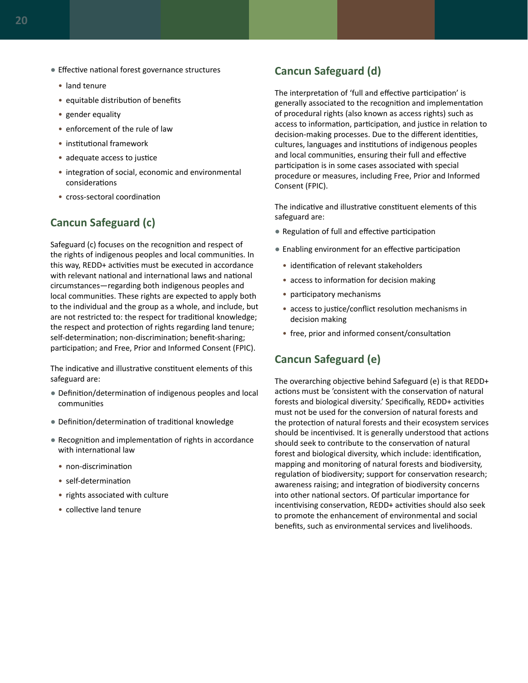- Effective national forest governance structures
	- land tenure
	- equitable distribution of benefits
	- gender equality
	- enforcement of the rule of law
	- institutional framework
	- adequate access to justice
	- integration of social, economic and environmental considerations
	- cross-sectoral coordination

### **Cancun Safeguard (c)**

Safeguard (c) focuses on the recognition and respect of the rights of indigenous peoples and local communities. In this way, REDD+ activities must be executed in accordance with relevant national and international laws and national circumstances—regarding both indigenous peoples and local communities. These rights are expected to apply both to the individual and the group as a whole, and include, but are not restricted to: the respect for traditional knowledge; the respect and protection of rights regarding land tenure; self-determination; non-discrimination; benefit-sharing; participation; and Free, Prior and Informed Consent (FPIC).

The indicative and illustrative constituent elements of this safeguard are:

- Definition/determination of indigenous peoples and local communities
- Definition/determination of traditional knowledge
- Recognition and implementation of rights in accordance with international law
	- non-discrimination
	- self-determination
	- rights associated with culture
	- collective land tenure

#### **Cancun Safeguard (d)**

The interpretation of 'full and effective participation' is generally associated to the recognition and implementation of procedural rights (also known as access rights) such as access to information, participation, and justice in relation to decision-making processes. Due to the different identities, cultures, languages and institutions of indigenous peoples and local communities, ensuring their full and effective participation is in some cases associated with special procedure or measures, including Free, Prior and Informed Consent (FPIC).

The indicative and illustrative constituent elements of this safeguard are:

- Regulation of full and effective participation
- Enabling environment for an effective participation
	- identification of relevant stakeholders
	- access to information for decision making
	- participatory mechanisms
	- access to justice/conflict resolution mechanisms in decision making
	- free, prior and informed consent/consultation

#### **Cancun Safeguard (e)**

The overarching objective behind Safeguard (e) is that REDD+ actions must be 'consistent with the conservation of natural forests and biological diversity.' Specifically, REDD+ activities must not be used for the conversion of natural forests and the protection of natural forests and their ecosystem services should be incentivised. It is generally understood that actions should seek to contribute to the conservation of natural forest and biological diversity, which include: identification, mapping and monitoring of natural forests and biodiversity, regulation of biodiversity; support for conservation research; awareness raising; and integration of biodiversity concerns into other national sectors. Of particular importance for incentivising conservation, REDD+ activities should also seek to promote the enhancement of environmental and social benefits, such as environmental services and livelihoods.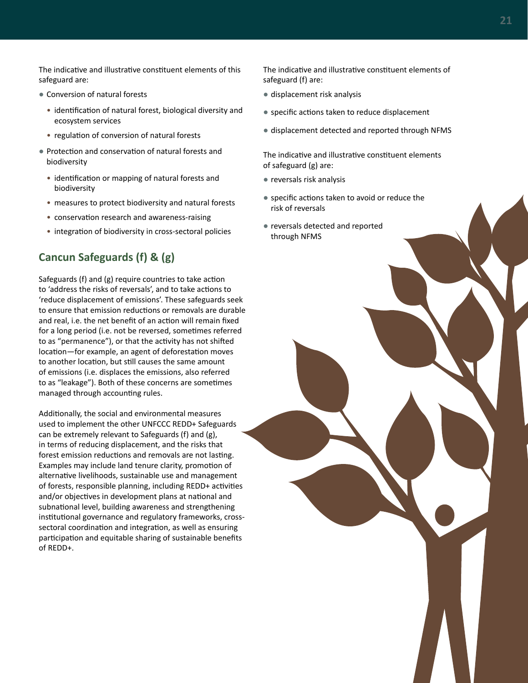The indicative and illustrative constituent elements of this safeguard are:

- Conversion of natural forests
	- identification of natural forest, biological diversity and ecosystem services
	- regulation of conversion of natural forests
- Protection and conservation of natural forests and biodiversity
	- identification or mapping of natural forests and biodiversity
	- measures to protect biodiversity and natural forests
	- conservation research and awareness-raising
	- integration of biodiversity in cross-sectoral policies

### **Cancun Safeguards (f) & (g)**

Safeguards (f) and (g) require countries to take action to 'address the risks of reversals', and to take actions to 'reduce displacement of emissions'. These safeguards seek to ensure that emission reductions or removals are durable and real, i.e. the net benefit of an action will remain fixed for a long period (i.e. not be reversed, sometimes referred to as "permanence"), or that the activity has not shifted location—for example, an agent of deforestation moves to another location, but still causes the same amount of emissions (i.e. displaces the emissions, also referred to as "leakage"). Both of these concerns are sometimes managed through accounting rules.

Additionally, the social and environmental measures used to implement the other UNFCCC REDD+ Safeguards can be extremely relevant to Safeguards (f) and (g), in terms of reducing displacement, and the risks that forest emission reductions and removals are not lasting. Examples may include land tenure clarity, promotion of alternative livelihoods, sustainable use and management of forests, responsible planning, including REDD+ activities and/or objectives in development plans at national and subnational level, building awareness and strengthening institutional governance and regulatory frameworks, crosssectoral coordination and integration, as well as ensuring participation and equitable sharing of sustainable benefits of REDD+.

The indicative and illustrative constituent elements of safeguard (f) are:

- displacement risk analysis
- specific actions taken to reduce displacement
- displacement detected and reported through NFMS

The indicative and illustrative constituent elements of safeguard (g) are:

- reversals risk analysis
- specific actions taken to avoid or reduce the risk of reversals
- reversals detected and reported through NFMS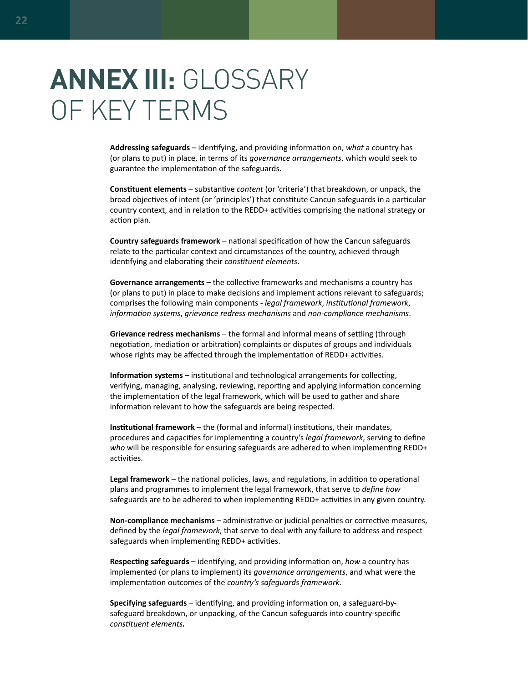# <span id="page-27-0"></span>**ANNEX III:** GLOSSARY OF KEY TERMS

**Addressing safeguards** – identifying, and providing information on, *what* a country has (or plans to put) in place, in terms of its *governance arrangements*, which would seek to guarantee the implementation of the safeguards.

**Constituent elements** – substantive *content* (or 'criteria') that breakdown, or unpack, the broad objectives of intent (or 'principles') that constitute Cancun safeguards in a particular country context, and in relation to the REDD+ activities comprising the national strategy or action plan.

**Country safeguards framework** – national specification of how the Cancun safeguards relate to the particular context and circumstances of the country, achieved through identifying and elaborating their *constituent elements*.

**Governance arrangements** – the collective frameworks and mechanisms a country has (or plans to put) in place to make decisions and implement actions relevant to safeguards; comprises the following main components - *legal framework*, *institutional framework*, *information systems*, *grievance redress mechanisms* and *non-compliance mechanisms*.

**Grievance redress mechanisms** – the formal and informal means of settling (through negotiation, mediation or arbitration) complaints or disputes of groups and individuals whose rights may be affected through the implementation of REDD+ activities.

**Information systems** – institutional and technological arrangements for collecting, verifying, managing, analysing, reviewing, reporting and applying information concerning the implementation of the legal framework, which will be used to gather and share information relevant to how the safeguards are being respected.

**Institutional framework** – the (formal and informal) institutions, their mandates, procedures and capacities for implementing a country's *legal framework*, serving to define *who* will be responsible for ensuring safeguards are adhered to when implementing REDD+ activities.

**Legal framework** – the national policies, laws, and regulations, in addition to operational plans and programmes to implement the legal framework, that serve to *define how* safeguards are to be adhered to when implementing REDD+ activities in any given country.

**Non-compliance mechanisms** – administrative or judicial penalties or corrective measures, defined by the *legal framework*, that serve to deal with any failure to address and respect safeguards when implementing REDD+ activities.

**Respecting safeguards** – identifying, and providing information on, *how* a country has implemented (or plans to implement) its *governance arrangements*, and what were the implementation outcomes of the *country's safeguards framework*.

**Specifying safeguards** – identifying, and providing information on, a safeguard-bysafeguard breakdown, or unpacking, of the Cancun safeguards into country-specific *constituent elements.*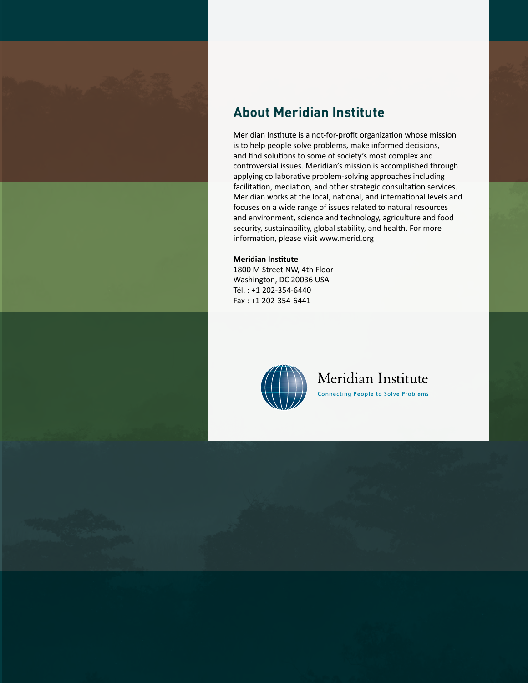



Meridian Institute is a not-for-profit organization whose mission is to help people solve problems, make informed decisions, and find solutions to some of society's most complex and controversial issues. Meridian's mission is accomplished through applying collaborative problem-solving approaches including facilitation, mediation, and other strategic consultation services. Meridian works at the local, national, and international levels and focuses on a wide range of issues related to natural resources and environment, science and technology, agriculture and food security, sustainability, global stability, and health. For more information, please visit [www.merid.org](http://www.merid.org)

#### **Meridian Institute**

1800 M Street NW, 4th Floor Washington, DC 20036 USA Tél. : +1 202-354-6440 Fax : +1 202-354-6441



# Meridian Institute